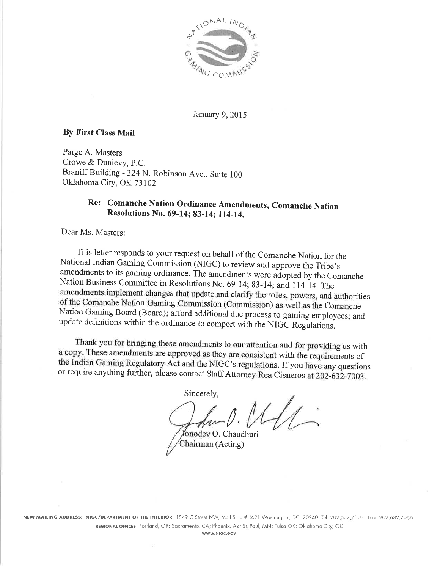

January 9, 2015

#### **By First Class Mail**

Paige A. Masters Crowe & Dunlevy, P.C. Braniff Building - 324 N. Robinson Ave., Suite 100 Oklahoma City, OK 73102

# Re: Comanche Nation Ordinance Amendments, Comanche Nation Resolutions No. 69-14; 83-14; 114-14.

Dear Ms. Masters:

This letter responds to your request on behalf of the Comanche Nation for the National Indian Gaming Commission (NIGC) to review and approve the Tribe's amendments to its gaming ordinance. The amendments were adopted by the Comanche Nation Business Committee in Resolutions No. 69-14; 83-14; and 114-14. The amendments implement changes that update and clarify the roles, powers, and authorities of the Comanche Nation Gaming Commission (Commission) as well as the Comanche Nation Gaming Board (Board); afford additional due process to gaming employees; and update definitions within the ordinance to comport with the NIGC Regulations.

Thank you for bringing these amendments to our attention and for providing us with a copy. These amendments are approved as they are consistent with the requirements of the Indian Gaming Regulatory Act and the NIGC's regulations. If you have any questions or require anything further, please contact Staff Attorney Rea Cisneros at 202-632-7003.

Sincerely, Vonodev O. Chaudhuri Chairman (Acting)

NEW MAILING ADDRESS: NIGC/DEPARTMENT OF THE INTERIOR 1849 C Street NW, Mail Stop # 1621 Washington, DC 20240 Tel: 202.632.7003 Fax: 202.632.7066 REGIONAL OFFICES Portland, OR; Sacramento, CA; Phoenix, AZ; St. Paul, MN; Tulsa OK; Oklahoma City, OK

WWW.NIGC.GOV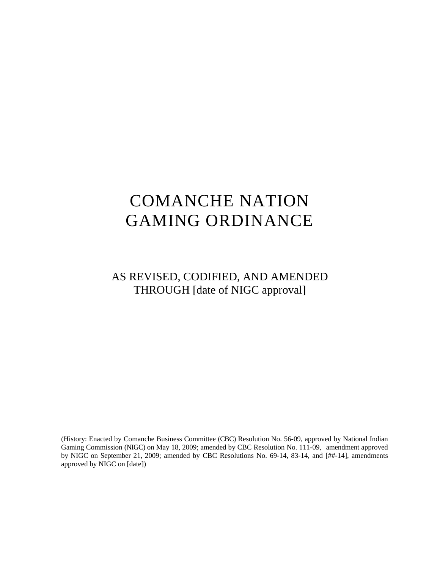# COMANCHE NATION GAMING ORDINANCE

# AS REVISED, CODIFIED, AND AMENDED THROUGH [date of NIGC approval]

(History: Enacted by Comanche Business Committee (CBC) Resolution No. 56-09, approved by National Indian Gaming Commission (NIGC) on May 18, 2009; amended by CBC Resolution No. 111-09, amendment approved by NIGC on September 21, 2009; amended by CBC Resolutions No. 69-14, 83-14, and [##-14], amendments approved by NIGC on [date])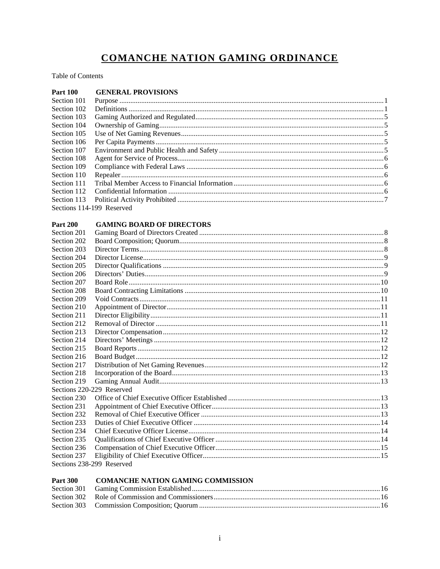# **COMANCHE NATION GAMING ORDINANCE**

Table of Contents

| <b>Part 100</b>           | <b>GENERAL PROVISIONS</b> |  |
|---------------------------|---------------------------|--|
| Section 101               |                           |  |
| Section 102               |                           |  |
| Section 103               |                           |  |
| Section 104               |                           |  |
| Section 105               |                           |  |
| Section 106               |                           |  |
| Section 107               |                           |  |
| Section 108               |                           |  |
| Section 109               |                           |  |
| Section 110               |                           |  |
| Section 111               |                           |  |
| Section 112               |                           |  |
| Section 113               |                           |  |
| Sections 114-199 Reserved |                           |  |

#### Part 200 GAMING BOARD OF DIRECTORS

| Section 201 |                           |  |
|-------------|---------------------------|--|
| Section 202 |                           |  |
| Section 203 |                           |  |
| Section 204 |                           |  |
| Section 205 |                           |  |
| Section 206 |                           |  |
| Section 207 |                           |  |
| Section 208 |                           |  |
| Section 209 |                           |  |
| Section 210 |                           |  |
| Section 211 |                           |  |
| Section 212 |                           |  |
| Section 213 |                           |  |
| Section 214 |                           |  |
| Section 215 |                           |  |
| Section 216 |                           |  |
| Section 217 |                           |  |
| Section 218 |                           |  |
| Section 219 |                           |  |
|             | Sections 220-229 Reserved |  |
| Section 230 |                           |  |
| Section 231 |                           |  |
| Section 232 |                           |  |
| Section 233 |                           |  |
| Section 234 |                           |  |
| Section 235 |                           |  |
| Section 236 |                           |  |
| Section 237 |                           |  |
|             | Sections 238-299 Reserved |  |

#### Part 300 COMANCHE NATION GAMING COMMISSION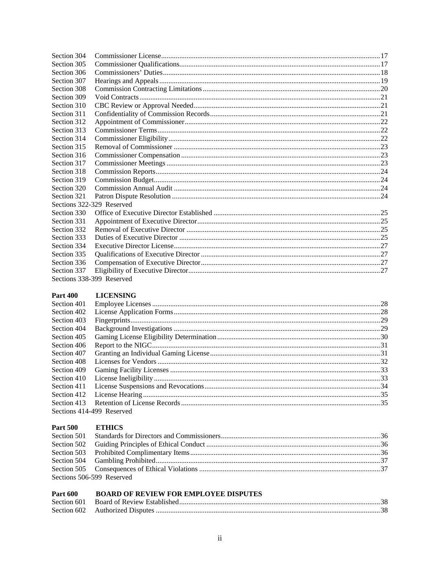| Section 304 |                           |  |
|-------------|---------------------------|--|
| Section 305 |                           |  |
| Section 306 |                           |  |
| Section 307 |                           |  |
| Section 308 |                           |  |
| Section 309 |                           |  |
| Section 310 |                           |  |
| Section 311 |                           |  |
| Section 312 |                           |  |
| Section 313 |                           |  |
| Section 314 |                           |  |
| Section 315 |                           |  |
| Section 316 |                           |  |
| Section 317 |                           |  |
| Section 318 |                           |  |
| Section 319 |                           |  |
| Section 320 |                           |  |
| Section 321 |                           |  |
|             | Sections 322-329 Reserved |  |
| Section 330 |                           |  |
| Section 331 |                           |  |
| Section 332 |                           |  |
| Section 333 |                           |  |
| Section 334 |                           |  |
| Section 335 |                           |  |
| Section 336 |                           |  |
| Section 337 |                           |  |
|             | Sections 338-399 Reserved |  |

| <b>Part 400</b> | <b>LICENSING</b> |
|-----------------|------------------|
|                 |                  |

| 0 | <b>LICENSING</b> |
|---|------------------|
|   |                  |

| Section 401               |  |
|---------------------------|--|
| Section 402               |  |
| Section 403               |  |
| Section 404               |  |
| Section 405               |  |
| Section 406               |  |
| Section 407               |  |
| Section 408               |  |
| Section 409               |  |
| Section 410               |  |
| Section 411               |  |
| Section 412               |  |
| Section 413               |  |
| Sections 414-499 Reserved |  |

Part 500 ETHICS

| Sections 506-599 Reserved |  |  |
|---------------------------|--|--|

# Part 600 BOARD OF REVIEW FOR EMPLOYEE DISPUTES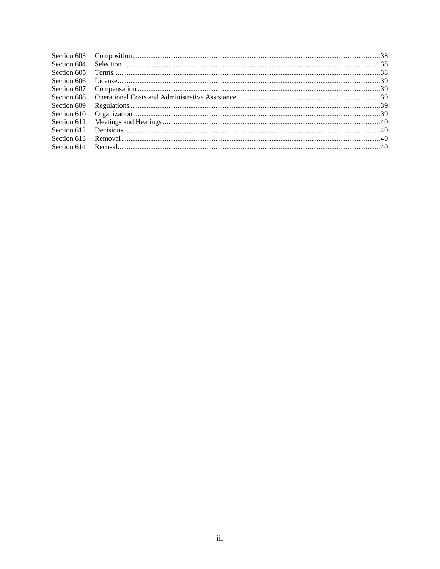| Section 609 |  |
|-------------|--|
| Section 610 |  |
| Section 611 |  |
|             |  |
|             |  |
|             |  |
|             |  |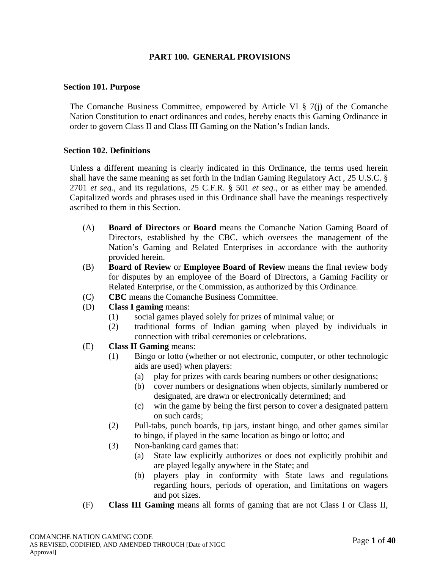# **PART 100. GENERAL PROVISIONS**

#### **Section 101. Purpose**

The Comanche Business Committee, empowered by Article VI § 7(j) of the Comanche Nation Constitution to enact ordinances and codes, hereby enacts this Gaming Ordinance in order to govern Class II and Class III Gaming on the Nation's Indian lands.

#### **Section 102. Definitions**

Unless a different meaning is clearly indicated in this Ordinance, the terms used herein shall have the same meaning as set forth in the Indian Gaming Regulatory Act , 25 U.S.C. § 2701 *et seq.*, and its regulations, 25 C.F.R. § 501 *et seq.*, or as either may be amended. Capitalized words and phrases used in this Ordinance shall have the meanings respectively ascribed to them in this Section.

- (A) **Board of Directors** or **Board** means the Comanche Nation Gaming Board of Directors, established by the CBC, which oversees the management of the Nation's Gaming and Related Enterprises in accordance with the authority provided herein.
- (B) **Board of Review** or **Employee Board of Review** means the final review body for disputes by an employee of the Board of Directors, a Gaming Facility or Related Enterprise, or the Commission, as authorized by this Ordinance.
- (C) **CBC** means the Comanche Business Committee.
- (D) **Class I gaming** means:
	- (1) social games played solely for prizes of minimal value; or
	- (2) traditional forms of Indian gaming when played by individuals in connection with tribal ceremonies or celebrations.
- (E) **Class II Gaming** means:
	- (1) Bingo or lotto (whether or not electronic, computer, or other technologic aids are used) when players:
		- (a) play for prizes with cards bearing numbers or other designations;
		- (b) cover numbers or designations when objects, similarly numbered or designated, are drawn or electronically determined; and
		- (c) win the game by being the first person to cover a designated pattern on such cards;
	- (2) Pull-tabs, punch boards, tip jars, instant bingo, and other games similar to bingo, if played in the same location as bingo or lotto; and
	- (3) Non-banking card games that:
		- (a) State law explicitly authorizes or does not explicitly prohibit and are played legally anywhere in the State; and
		- (b) players play in conformity with State laws and regulations regarding hours, periods of operation, and limitations on wagers and pot sizes.
- (F) **Class III Gaming** means all forms of gaming that are not Class I or Class II,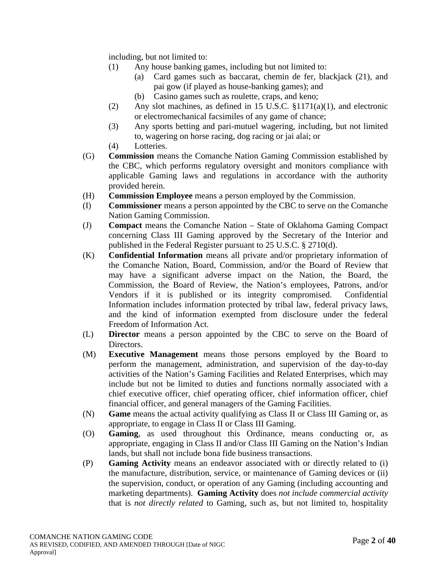including, but not limited to:

- (1) Any house banking games, including but not limited to:
	- (a) Card games such as baccarat, chemin de fer, blackjack (21), and pai gow (if played as house-banking games); and
		- (b) Casino games such as roulette, craps, and keno;
- (2) Any slot machines, as defined in 15 U.S.C. §1171(a)(1), and electronic or electromechanical facsimiles of any game of chance;
- (3) Any sports betting and pari-mutuel wagering, including, but not limited to, wagering on horse racing, dog racing or jai alai; or
- (4) Lotteries.
- (G) **Commission** means the Comanche Nation Gaming Commission established by the CBC, which performs regulatory oversight and monitors compliance with applicable Gaming laws and regulations in accordance with the authority provided herein.
- (H) **Commission Employee** means a person employed by the Commission.
- (I) **Commissioner** means a person appointed by the CBC to serve on the Comanche Nation Gaming Commission.
- (J) **Compact** means the Comanche Nation State of Oklahoma Gaming Compact concerning Class III Gaming approved by the Secretary of the Interior and published in the Federal Register pursuant to 25 U.S.C. § 2710(d).
- (K) **Confidential Information** means all private and/or proprietary information of the Comanche Nation, Board, Commission, and/or the Board of Review that may have a significant adverse impact on the Nation, the Board, the Commission, the Board of Review, the Nation's employees, Patrons, and/or Vendors if it is published or its integrity compromised. Confidential Information includes information protected by tribal law, federal privacy laws, and the kind of information exempted from disclosure under the federal Freedom of Information Act.
- (L) **Director** means a person appointed by the CBC to serve on the Board of Directors.
- (M) **Executive Management** means those persons employed by the Board to perform the management, administration, and supervision of the day-to-day activities of the Nation's Gaming Facilities and Related Enterprises, which may include but not be limited to duties and functions normally associated with a chief executive officer, chief operating officer, chief information officer, chief financial officer, and general managers of the Gaming Facilities.
- (N) **Game** means the actual activity qualifying as Class II or Class III Gaming or, as appropriate, to engage in Class II or Class III Gaming.
- (O) **Gaming**, as used throughout this Ordinance, means conducting or, as appropriate, engaging in Class II and/or Class III Gaming on the Nation's Indian lands, but shall not include bona fide business transactions.
- (P) **Gaming Activity** means an endeavor associated with or directly related to (i) the manufacture, distribution, service, or maintenance of Gaming devices or (ii) the supervision, conduct, or operation of any Gaming (including accounting and marketing departments). **Gaming Activity** does *not include commercial activity* that is *not directly related* to Gaming, such as, but not limited to, hospitality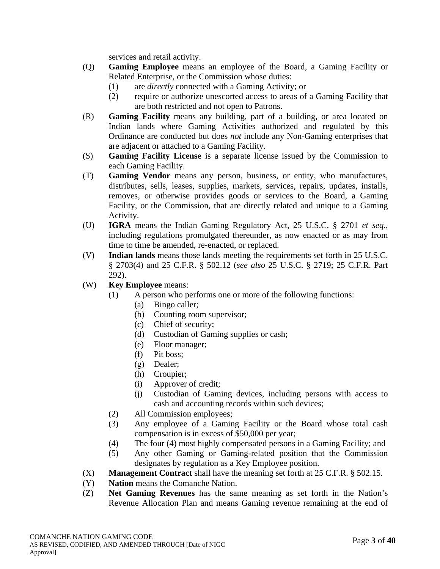services and retail activity.

- (Q) **Gaming Employee** means an employee of the Board, a Gaming Facility or Related Enterprise, or the Commission whose duties:
	- (1) are *directly* connected with a Gaming Activity; or
	- (2) require or authorize unescorted access to areas of a Gaming Facility that are both restricted and not open to Patrons.
- (R) **Gaming Facility** means any building, part of a building, or area located on Indian lands where Gaming Activities authorized and regulated by this Ordinance are conducted but does *not* include any Non-Gaming enterprises that are adjacent or attached to a Gaming Facility.
- (S) **Gaming Facility License** is a separate license issued by the Commission to each Gaming Facility.
- (T) **Gaming Vendor** means any person, business, or entity, who manufactures, distributes, sells, leases, supplies, markets, services, repairs, updates, installs, removes, or otherwise provides goods or services to the Board, a Gaming Facility, or the Commission, that are directly related and unique to a Gaming Activity.
- (U) **IGRA** means the Indian Gaming Regulatory Act, 25 U.S.C. § 2701 *et seq.*, including regulations promulgated thereunder, as now enacted or as may from time to time be amended, re-enacted, or replaced.
- (V) **Indian lands** means those lands meeting the requirements set forth in 25 U.S.C. § 2703(4) and 25 C.F.R. § 502.12 (*see also* 25 U.S.C. § 2719; 25 C.F.R. Part 292).
- (W) **Key Employee** means:
	- (1) A person who performs one or more of the following functions:
		- (a) Bingo caller;
		- (b) Counting room supervisor;
		- (c) Chief of security;
		- (d) Custodian of Gaming supplies or cash;
		- (e) Floor manager;
		- (f) Pit boss;
		- (g) Dealer;
		- (h) Croupier;
		- (i) Approver of credit;
		- (j) Custodian of Gaming devices, including persons with access to cash and accounting records within such devices;
	- (2) All Commission employees;
	- (3) Any employee of a Gaming Facility or the Board whose total cash compensation is in excess of \$50,000 per year;
	- (4) The four (4) most highly compensated persons in a Gaming Facility; and
	- (5) Any other Gaming or Gaming-related position that the Commission designates by regulation as a Key Employee position.
- (X) **Management Contract** shall have the meaning set forth at 25 C.F.R. § 502.15.
- (Y) **Nation** means the Comanche Nation.
- (Z) **Net Gaming Revenues** has the same meaning as set forth in the Nation's Revenue Allocation Plan and means Gaming revenue remaining at the end of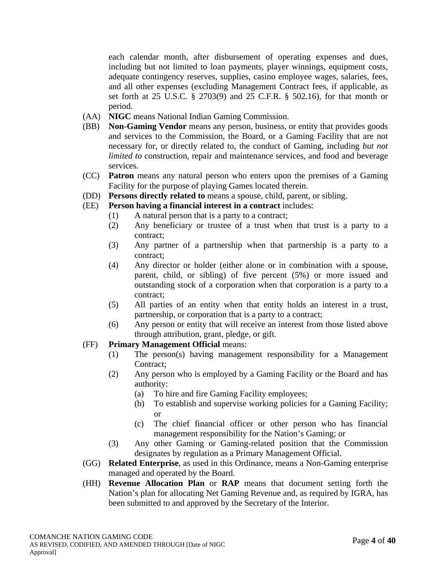each calendar month, after disbursement of operating expenses and dues, including but not limited to loan payments, player winnings, equipment costs, adequate contingency reserves, supplies, casino employee wages, salaries, fees, and all other expenses (excluding Management Contract fees, if applicable, as set forth at 25 U.S.C. § 2703(9) and 25 C.F.R. § 502.16), for that month or period.

- (AA) **NIGC** means National Indian Gaming Commission.
- (BB) **Non-Gaming Vendor** means any person, business, or entity that provides goods and services to the Commission, the Board, or a Gaming Facility that are not necessary for, or directly related to, the conduct of Gaming, including *but not limited to* construction, repair and maintenance services, and food and beverage services.
- (CC) **Patron** means any natural person who enters upon the premises of a Gaming Facility for the purpose of playing Games located therein.
- (DD) **Persons directly related to** means a spouse, child, parent, or sibling.
- (EE) **Person having a financial interest in a contract** includes:
	- (1) A natural person that is a party to a contract;
	- (2) Any beneficiary or trustee of a trust when that trust is a party to a contract;
	- (3) Any partner of a partnership when that partnership is a party to a contract;
	- (4) Any director or holder (either alone or in combination with a spouse, parent, child, or sibling) of five percent (5%) or more issued and outstanding stock of a corporation when that corporation is a party to a contract;
	- (5) All parties of an entity when that entity holds an interest in a trust, partnership, or corporation that is a party to a contract;
	- (6) Any person or entity that will receive an interest from those listed above through attribution, grant, pledge, or gift.
- (FF) **Primary Management Official** means:
	- (1) The person(s) having management responsibility for a Management Contract:
	- (2) Any person who is employed by a Gaming Facility or the Board and has authority:
		- (a) To hire and fire Gaming Facility employees;
		- (b) To establish and supervise working policies for a Gaming Facility; or
		- (c) The chief financial officer or other person who has financial management responsibility for the Nation's Gaming; or
	- (3) Any other Gaming or Gaming-related position that the Commission designates by regulation as a Primary Management Official.
- (GG) **Related Enterprise**, as used in this Ordinance, means a Non-Gaming enterprise managed and operated by the Board.
- (HH) **Revenue Allocation Plan** or **RAP** means that document setting forth the Nation's plan for allocating Net Gaming Revenue and, as required by IGRA, has been submitted to and approved by the Secretary of the Interior.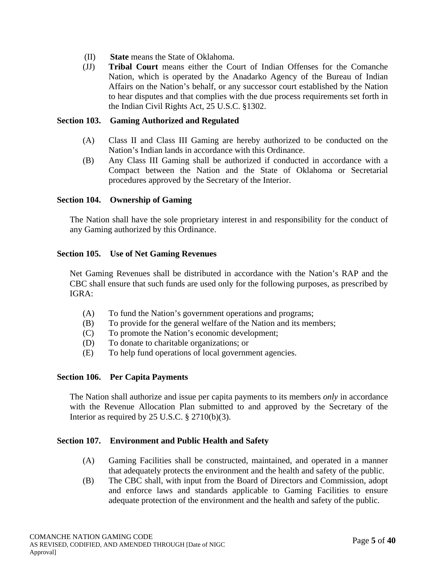- (II) **State** means the State of Oklahoma.
- (JJ) **Tribal Court** means either the Court of Indian Offenses for the Comanche Nation, which is operated by the Anadarko Agency of the Bureau of Indian Affairs on the Nation's behalf, or any successor court established by the Nation to hear disputes and that complies with the due process requirements set forth in the Indian Civil Rights Act, 25 U.S.C. §1302.

#### **Section 103. Gaming Authorized and Regulated**

- (A) Class II and Class III Gaming are hereby authorized to be conducted on the Nation's Indian lands in accordance with this Ordinance.
- (B) Any Class III Gaming shall be authorized if conducted in accordance with a Compact between the Nation and the State of Oklahoma or Secretarial procedures approved by the Secretary of the Interior.

# **Section 104. Ownership of Gaming**

The Nation shall have the sole proprietary interest in and responsibility for the conduct of any Gaming authorized by this Ordinance.

# **Section 105. Use of Net Gaming Revenues**

Net Gaming Revenues shall be distributed in accordance with the Nation's RAP and the CBC shall ensure that such funds are used only for the following purposes, as prescribed by IGRA:

- (A) To fund the Nation's government operations and programs;
- (B) To provide for the general welfare of the Nation and its members;
- (C) To promote the Nation's economic development;
- (D) To donate to charitable organizations; or
- (E) To help fund operations of local government agencies.

#### **Section 106. Per Capita Payments**

The Nation shall authorize and issue per capita payments to its members *only* in accordance with the Revenue Allocation Plan submitted to and approved by the Secretary of the Interior as required by 25 U.S.C. § 2710(b)(3).

#### **Section 107. Environment and Public Health and Safety**

- (A) Gaming Facilities shall be constructed, maintained, and operated in a manner that adequately protects the environment and the health and safety of the public.
- (B) The CBC shall, with input from the Board of Directors and Commission, adopt and enforce laws and standards applicable to Gaming Facilities to ensure adequate protection of the environment and the health and safety of the public.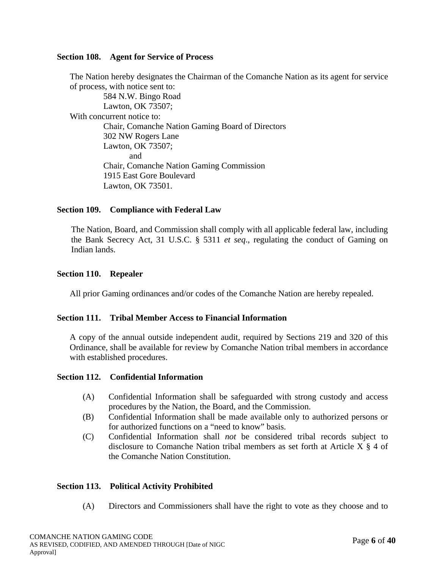#### **Section 108. Agent for Service of Process**

The Nation hereby designates the Chairman of the Comanche Nation as its agent for service of process, with notice sent to: 584 N.W. Bingo Road Lawton, OK 73507; With concurrent notice to: Chair, Comanche Nation Gaming Board of Directors 302 NW Rogers Lane Lawton, OK 73507; and Chair, Comanche Nation Gaming Commission 1915 East Gore Boulevard Lawton, OK 73501.

#### **Section 109. Compliance with Federal Law**

The Nation, Board, and Commission shall comply with all applicable federal law, including the Bank Secrecy Act, 31 U.S.C. § 5311 *et seq*., regulating the conduct of Gaming on Indian lands.

#### **Section 110. Repealer**

All prior Gaming ordinances and/or codes of the Comanche Nation are hereby repealed.

#### **Section 111. Tribal Member Access to Financial Information**

A copy of the annual outside independent audit, required by Sections 219 and 320 of this Ordinance, shall be available for review by Comanche Nation tribal members in accordance with established procedures.

#### **Section 112. Confidential Information**

- (A) Confidential Information shall be safeguarded with strong custody and access procedures by the Nation, the Board, and the Commission.
- (B) Confidential Information shall be made available only to authorized persons or for authorized functions on a "need to know" basis.
- (C) Confidential Information shall *not* be considered tribal records subject to disclosure to Comanche Nation tribal members as set forth at Article X § 4 of the Comanche Nation Constitution.

#### **Section 113. Political Activity Prohibited**

(A) Directors and Commissioners shall have the right to vote as they choose and to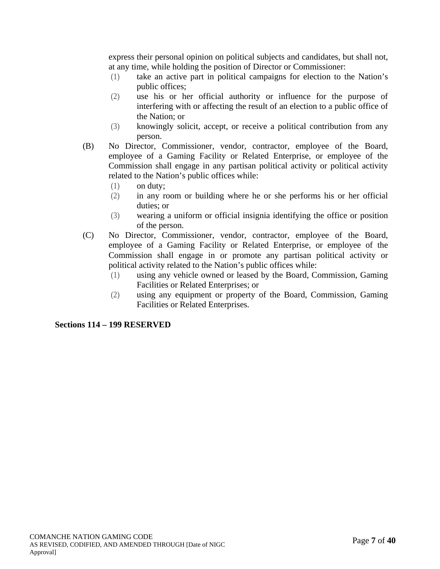express their personal opinion on political subjects and candidates, but shall not, at any time, while holding the position of Director or Commissioner:

- (1) take an active part in political campaigns for election to the Nation's public offices;
- (2) use his or her official authority or influence for the purpose of interfering with or affecting the result of an election to a public office of the Nation; or
- (3) knowingly solicit, accept, or receive a political contribution from any person.
- (B) No Director, Commissioner, vendor, contractor, employee of the Board, employee of a Gaming Facility or Related Enterprise, or employee of the Commission shall engage in any partisan political activity or political activity related to the Nation's public offices while:
	- (1) on duty;
	- (2) in any room or building where he or she performs his or her official duties; or
	- (3) wearing a uniform or official insignia identifying the office or position of the person.
- (C) No Director, Commissioner, vendor, contractor, employee of the Board, employee of a Gaming Facility or Related Enterprise, or employee of the Commission shall engage in or promote any partisan political activity or political activity related to the Nation's public offices while:
	- (1) using any vehicle owned or leased by the Board, Commission, Gaming Facilities or Related Enterprises; or
	- (2) using any equipment or property of the Board, Commission, Gaming Facilities or Related Enterprises.

#### **Sections 114 – 199 RESERVED**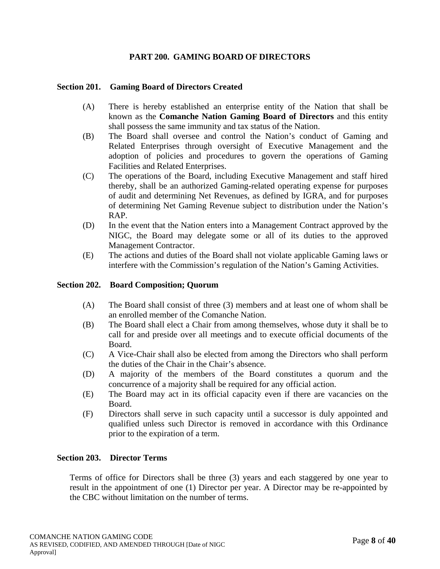# **PART 200. GAMING BOARD OF DIRECTORS**

#### **Section 201. Gaming Board of Directors Created**

- (A) There is hereby established an enterprise entity of the Nation that shall be known as the **Comanche Nation Gaming Board of Directors** and this entity shall possess the same immunity and tax status of the Nation.
- (B) The Board shall oversee and control the Nation's conduct of Gaming and Related Enterprises through oversight of Executive Management and the adoption of policies and procedures to govern the operations of Gaming Facilities and Related Enterprises.
- (C) The operations of the Board, including Executive Management and staff hired thereby, shall be an authorized Gaming-related operating expense for purposes of audit and determining Net Revenues, as defined by IGRA, and for purposes of determining Net Gaming Revenue subject to distribution under the Nation's RAP.
- (D) In the event that the Nation enters into a Management Contract approved by the NIGC, the Board may delegate some or all of its duties to the approved Management Contractor.
- (E) The actions and duties of the Board shall not violate applicable Gaming laws or interfere with the Commission's regulation of the Nation's Gaming Activities.

#### **Section 202. Board Composition; Quorum**

- (A) The Board shall consist of three (3) members and at least one of whom shall be an enrolled member of the Comanche Nation.
- (B) The Board shall elect a Chair from among themselves, whose duty it shall be to call for and preside over all meetings and to execute official documents of the Board.
- (C) A Vice-Chair shall also be elected from among the Directors who shall perform the duties of the Chair in the Chair's absence.
- (D) A majority of the members of the Board constitutes a quorum and the concurrence of a majority shall be required for any official action.
- (E) The Board may act in its official capacity even if there are vacancies on the Board.
- (F) Directors shall serve in such capacity until a successor is duly appointed and qualified unless such Director is removed in accordance with this Ordinance prior to the expiration of a term.

#### **Section 203. Director Terms**

Terms of office for Directors shall be three (3) years and each staggered by one year to result in the appointment of one (1) Director per year. A Director may be re-appointed by the CBC without limitation on the number of terms.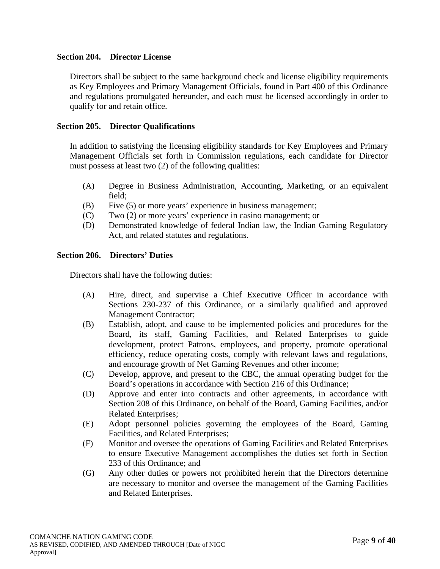### **Section 204. Director License**

Directors shall be subject to the same background check and license eligibility requirements as Key Employees and Primary Management Officials, found in Part 400 of this Ordinance and regulations promulgated hereunder, and each must be licensed accordingly in order to qualify for and retain office.

# **Section 205. Director Qualifications**

In addition to satisfying the licensing eligibility standards for Key Employees and Primary Management Officials set forth in Commission regulations, each candidate for Director must possess at least two (2) of the following qualities:

- (A) Degree in Business Administration, Accounting, Marketing, or an equivalent field;
- (B) Five (5) or more years' experience in business management;
- (C) Two (2) or more years' experience in casino management; or
- (D) Demonstrated knowledge of federal Indian law, the Indian Gaming Regulatory Act, and related statutes and regulations.

# **Section 206. Directors' Duties**

Directors shall have the following duties:

- (A) Hire, direct, and supervise a Chief Executive Officer in accordance with Sections 230-237 of this Ordinance, or a similarly qualified and approved Management Contractor;
- (B) Establish, adopt, and cause to be implemented policies and procedures for the Board, its staff, Gaming Facilities, and Related Enterprises to guide development, protect Patrons, employees, and property, promote operational efficiency, reduce operating costs, comply with relevant laws and regulations, and encourage growth of Net Gaming Revenues and other income;
- (C) Develop, approve, and present to the CBC, the annual operating budget for the Board's operations in accordance with Section 216 of this Ordinance;
- (D) Approve and enter into contracts and other agreements, in accordance with Section 208 of this Ordinance, on behalf of the Board, Gaming Facilities, and/or Related Enterprises;
- (E) Adopt personnel policies governing the employees of the Board, Gaming Facilities, and Related Enterprises;
- (F) Monitor and oversee the operations of Gaming Facilities and Related Enterprises to ensure Executive Management accomplishes the duties set forth in Section 233 of this Ordinance; and
- (G) Any other duties or powers not prohibited herein that the Directors determine are necessary to monitor and oversee the management of the Gaming Facilities and Related Enterprises.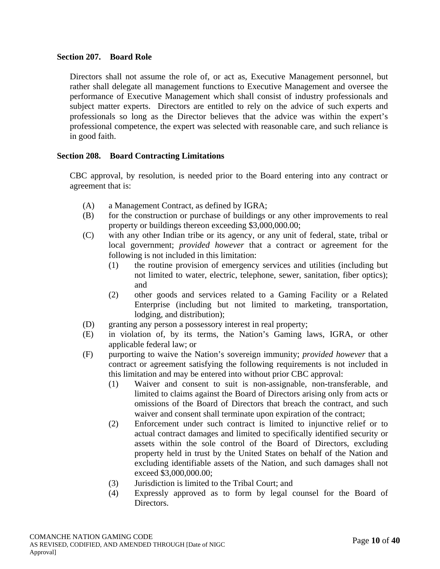# **Section 207. Board Role**

Directors shall not assume the role of, or act as, Executive Management personnel, but rather shall delegate all management functions to Executive Management and oversee the performance of Executive Management which shall consist of industry professionals and subject matter experts. Directors are entitled to rely on the advice of such experts and professionals so long as the Director believes that the advice was within the expert's professional competence, the expert was selected with reasonable care, and such reliance is in good faith.

# **Section 208. Board Contracting Limitations**

CBC approval, by resolution, is needed prior to the Board entering into any contract or agreement that is:

- (A) a Management Contract, as defined by IGRA;
- (B) for the construction or purchase of buildings or any other improvements to real property or buildings thereon exceeding \$3,000,000.00;
- (C) with any other Indian tribe or its agency, or any unit of federal, state, tribal or local government; *provided however* that a contract or agreement for the following is not included in this limitation:
	- (1) the routine provision of emergency services and utilities (including but not limited to water, electric, telephone, sewer, sanitation, fiber optics); and
	- (2) other goods and services related to a Gaming Facility or a Related Enterprise (including but not limited to marketing, transportation, lodging, and distribution);
- (D) granting any person a possessory interest in real property;
- (E) in violation of, by its terms, the Nation's Gaming laws, IGRA, or other applicable federal law; or
- (F) purporting to waive the Nation's sovereign immunity; *provided however* that a contract or agreement satisfying the following requirements is not included in this limitation and may be entered into without prior CBC approval:
	- (1) Waiver and consent to suit is non-assignable, non-transferable, and limited to claims against the Board of Directors arising only from acts or omissions of the Board of Directors that breach the contract, and such waiver and consent shall terminate upon expiration of the contract;
	- (2) Enforcement under such contract is limited to injunctive relief or to actual contract damages and limited to specifically identified security or assets within the sole control of the Board of Directors, excluding property held in trust by the United States on behalf of the Nation and excluding identifiable assets of the Nation, and such damages shall not exceed \$3,000,000.00;
	- (3) Jurisdiction is limited to the Tribal Court; and
	- (4) Expressly approved as to form by legal counsel for the Board of Directors.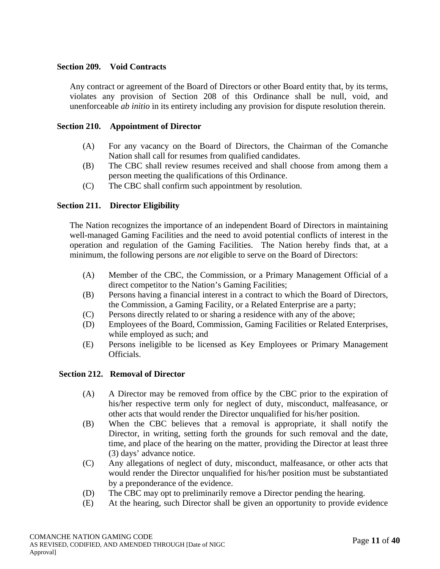# **Section 209. Void Contracts**

Any contract or agreement of the Board of Directors or other Board entity that, by its terms, violates any provision of Section 208 of this Ordinance shall be null, void, and unenforceable *ab initio* in its entirety including any provision for dispute resolution therein.

# **Section 210. Appointment of Director**

- (A) For any vacancy on the Board of Directors, the Chairman of the Comanche Nation shall call for resumes from qualified candidates.
- (B) The CBC shall review resumes received and shall choose from among them a person meeting the qualifications of this Ordinance.
- (C) The CBC shall confirm such appointment by resolution.

# **Section 211. Director Eligibility**

The Nation recognizes the importance of an independent Board of Directors in maintaining well-managed Gaming Facilities and the need to avoid potential conflicts of interest in the operation and regulation of the Gaming Facilities. The Nation hereby finds that, at a minimum, the following persons are *not* eligible to serve on the Board of Directors:

- (A) Member of the CBC, the Commission, or a Primary Management Official of a direct competitor to the Nation's Gaming Facilities;
- (B) Persons having a financial interest in a contract to which the Board of Directors, the Commission, a Gaming Facility, or a Related Enterprise are a party;
- (C) Persons directly related to or sharing a residence with any of the above;
- (D) Employees of the Board, Commission, Gaming Facilities or Related Enterprises, while employed as such; and
- (E) Persons ineligible to be licensed as Key Employees or Primary Management Officials.

#### **Section 212. Removal of Director**

- (A) A Director may be removed from office by the CBC prior to the expiration of his/her respective term only for neglect of duty, misconduct, malfeasance, or other acts that would render the Director unqualified for his/her position.
- (B) When the CBC believes that a removal is appropriate, it shall notify the Director, in writing, setting forth the grounds for such removal and the date, time, and place of the hearing on the matter, providing the Director at least three (3) days' advance notice.
- (C) Any allegations of neglect of duty, misconduct, malfeasance, or other acts that would render the Director unqualified for his/her position must be substantiated by a preponderance of the evidence.
- (D) The CBC may opt to preliminarily remove a Director pending the hearing.
- (E) At the hearing, such Director shall be given an opportunity to provide evidence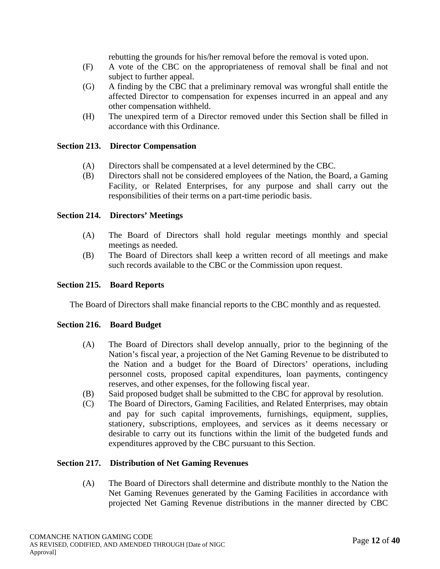rebutting the grounds for his/her removal before the removal is voted upon.

- (F) A vote of the CBC on the appropriateness of removal shall be final and not subject to further appeal.
- (G) A finding by the CBC that a preliminary removal was wrongful shall entitle the affected Director to compensation for expenses incurred in an appeal and any other compensation withheld.
- (H) The unexpired term of a Director removed under this Section shall be filled in accordance with this Ordinance.

# **Section 213. Director Compensation**

- (A) Directors shall be compensated at a level determined by the CBC.
- (B) Directors shall not be considered employees of the Nation, the Board, a Gaming Facility, or Related Enterprises, for any purpose and shall carry out the responsibilities of their terms on a part-time periodic basis.

# **Section 214. Directors' Meetings**

- (A) The Board of Directors shall hold regular meetings monthly and special meetings as needed.
- (B) The Board of Directors shall keep a written record of all meetings and make such records available to the CBC or the Commission upon request.

# **Section 215. Board Reports**

The Board of Directors shall make financial reports to the CBC monthly and as requested.

#### **Section 216. Board Budget**

- (A) The Board of Directors shall develop annually, prior to the beginning of the Nation's fiscal year, a projection of the Net Gaming Revenue to be distributed to the Nation and a budget for the Board of Directors' operations, including personnel costs, proposed capital expenditures, loan payments, contingency reserves, and other expenses, for the following fiscal year.
- (B) Said proposed budget shall be submitted to the CBC for approval by resolution.
- (C) The Board of Directors, Gaming Facilities, and Related Enterprises, may obtain and pay for such capital improvements, furnishings, equipment, supplies, stationery, subscriptions, employees, and services as it deems necessary or desirable to carry out its functions within the limit of the budgeted funds and expenditures approved by the CBC pursuant to this Section.

#### **Section 217. Distribution of Net Gaming Revenues**

(A) The Board of Directors shall determine and distribute monthly to the Nation the Net Gaming Revenues generated by the Gaming Facilities in accordance with projected Net Gaming Revenue distributions in the manner directed by CBC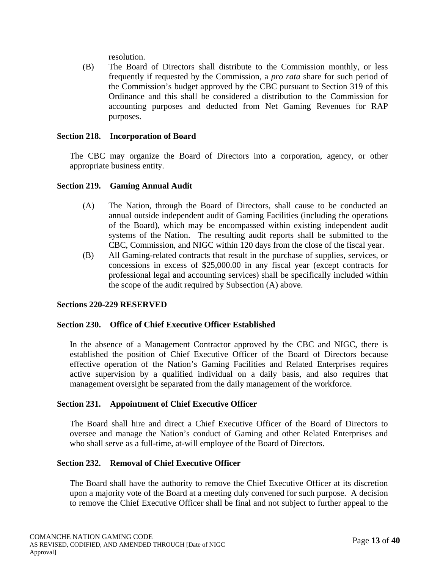resolution.

(B) The Board of Directors shall distribute to the Commission monthly, or less frequently if requested by the Commission, a *pro rata* share for such period of the Commission's budget approved by the CBC pursuant to Section 319 of this Ordinance and this shall be considered a distribution to the Commission for accounting purposes and deducted from Net Gaming Revenues for RAP purposes.

# **Section 218. Incorporation of Board**

The CBC may organize the Board of Directors into a corporation, agency, or other appropriate business entity.

#### **Section 219. Gaming Annual Audit**

- (A) The Nation, through the Board of Directors, shall cause to be conducted an annual outside independent audit of Gaming Facilities (including the operations of the Board), which may be encompassed within existing independent audit systems of the Nation. The resulting audit reports shall be submitted to the CBC, Commission, and NIGC within 120 days from the close of the fiscal year.
- (B) All Gaming-related contracts that result in the purchase of supplies, services, or concessions in excess of \$25,000.00 in any fiscal year (except contracts for professional legal and accounting services) shall be specifically included within the scope of the audit required by Subsection (A) above.

#### **Sections 220-229 RESERVED**

#### **Section 230. Office of Chief Executive Officer Established**

In the absence of a Management Contractor approved by the CBC and NIGC, there is established the position of Chief Executive Officer of the Board of Directors because effective operation of the Nation's Gaming Facilities and Related Enterprises requires active supervision by a qualified individual on a daily basis, and also requires that management oversight be separated from the daily management of the workforce.

#### **Section 231. Appointment of Chief Executive Officer**

The Board shall hire and direct a Chief Executive Officer of the Board of Directors to oversee and manage the Nation's conduct of Gaming and other Related Enterprises and who shall serve as a full-time, at-will employee of the Board of Directors.

#### **Section 232. Removal of Chief Executive Officer**

The Board shall have the authority to remove the Chief Executive Officer at its discretion upon a majority vote of the Board at a meeting duly convened for such purpose. A decision to remove the Chief Executive Officer shall be final and not subject to further appeal to the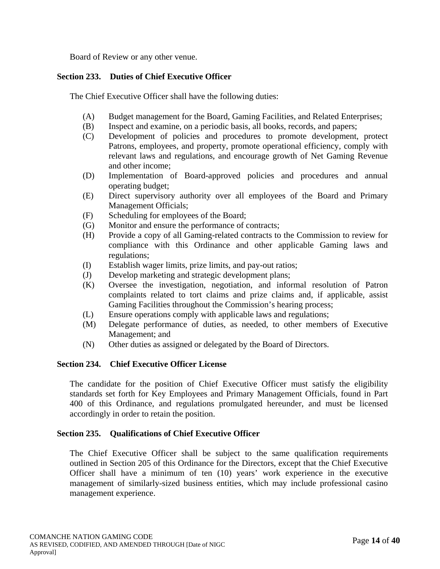Board of Review or any other venue.

# **Section 233. Duties of Chief Executive Officer**

The Chief Executive Officer shall have the following duties:

- (A) Budget management for the Board, Gaming Facilities, and Related Enterprises;
- (B) Inspect and examine, on a periodic basis, all books, records, and papers;
- (C) Development of policies and procedures to promote development, protect Patrons, employees, and property, promote operational efficiency, comply with relevant laws and regulations, and encourage growth of Net Gaming Revenue and other income;
- (D) Implementation of Board-approved policies and procedures and annual operating budget;
- (E) Direct supervisory authority over all employees of the Board and Primary Management Officials;
- (F) Scheduling for employees of the Board;
- (G) Monitor and ensure the performance of contracts;
- (H) Provide a copy of all Gaming-related contracts to the Commission to review for compliance with this Ordinance and other applicable Gaming laws and regulations;
- (I) Establish wager limits, prize limits, and pay-out ratios;
- (J) Develop marketing and strategic development plans;
- (K) Oversee the investigation, negotiation, and informal resolution of Patron complaints related to tort claims and prize claims and, if applicable, assist Gaming Facilities throughout the Commission's hearing process;
- (L) Ensure operations comply with applicable laws and regulations;
- (M) Delegate performance of duties, as needed, to other members of Executive Management; and
- (N) Other duties as assigned or delegated by the Board of Directors.

# **Section 234. Chief Executive Officer License**

The candidate for the position of Chief Executive Officer must satisfy the eligibility standards set forth for Key Employees and Primary Management Officials, found in Part 400 of this Ordinance, and regulations promulgated hereunder, and must be licensed accordingly in order to retain the position.

# **Section 235. Qualifications of Chief Executive Officer**

The Chief Executive Officer shall be subject to the same qualification requirements outlined in Section 205 of this Ordinance for the Directors, except that the Chief Executive Officer shall have a minimum of ten (10) years' work experience in the executive management of similarly-sized business entities, which may include professional casino management experience.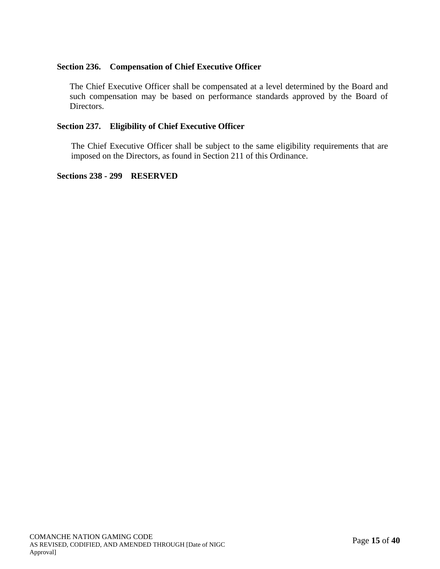# **Section 236. Compensation of Chief Executive Officer**

The Chief Executive Officer shall be compensated at a level determined by the Board and such compensation may be based on performance standards approved by the Board of Directors.

# **Section 237. Eligibility of Chief Executive Officer**

The Chief Executive Officer shall be subject to the same eligibility requirements that are imposed on the Directors, as found in Section 211 of this Ordinance.

#### **Sections 238 - 299 RESERVED**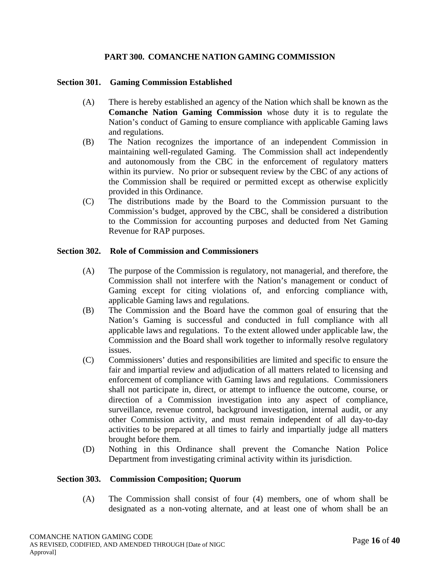# **PART 300. COMANCHE NATION GAMING COMMISSION**

#### **Section 301. Gaming Commission Established**

- (A) There is hereby established an agency of the Nation which shall be known as the **Comanche Nation Gaming Commission** whose duty it is to regulate the Nation's conduct of Gaming to ensure compliance with applicable Gaming laws and regulations.
- (B) The Nation recognizes the importance of an independent Commission in maintaining well-regulated Gaming. The Commission shall act independently and autonomously from the CBC in the enforcement of regulatory matters within its purview. No prior or subsequent review by the CBC of any actions of the Commission shall be required or permitted except as otherwise explicitly provided in this Ordinance.
- (C) The distributions made by the Board to the Commission pursuant to the Commission's budget, approved by the CBC, shall be considered a distribution to the Commission for accounting purposes and deducted from Net Gaming Revenue for RAP purposes.

#### **Section 302. Role of Commission and Commissioners**

- (A) The purpose of the Commission is regulatory, not managerial, and therefore, the Commission shall not interfere with the Nation's management or conduct of Gaming except for citing violations of, and enforcing compliance with, applicable Gaming laws and regulations.
- (B) The Commission and the Board have the common goal of ensuring that the Nation's Gaming is successful and conducted in full compliance with all applicable laws and regulations. To the extent allowed under applicable law, the Commission and the Board shall work together to informally resolve regulatory issues.
- (C) Commissioners' duties and responsibilities are limited and specific to ensure the fair and impartial review and adjudication of all matters related to licensing and enforcement of compliance with Gaming laws and regulations. Commissioners shall not participate in, direct, or attempt to influence the outcome, course, or direction of a Commission investigation into any aspect of compliance, surveillance, revenue control, background investigation, internal audit, or any other Commission activity, and must remain independent of all day-to-day activities to be prepared at all times to fairly and impartially judge all matters brought before them.
- (D) Nothing in this Ordinance shall prevent the Comanche Nation Police Department from investigating criminal activity within its jurisdiction.

#### **Section 303. Commission Composition; Quorum**

(A) The Commission shall consist of four (4) members, one of whom shall be designated as a non-voting alternate, and at least one of whom shall be an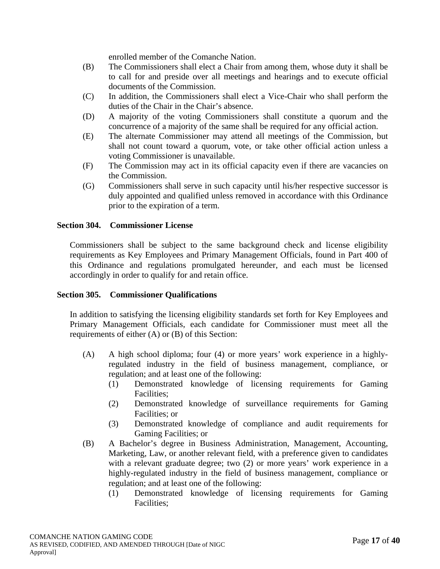enrolled member of the Comanche Nation.

- (B) The Commissioners shall elect a Chair from among them, whose duty it shall be to call for and preside over all meetings and hearings and to execute official documents of the Commission.
- (C) In addition, the Commissioners shall elect a Vice-Chair who shall perform the duties of the Chair in the Chair's absence.
- (D) A majority of the voting Commissioners shall constitute a quorum and the concurrence of a majority of the same shall be required for any official action.
- (E) The alternate Commissioner may attend all meetings of the Commission, but shall not count toward a quorum, vote, or take other official action unless a voting Commissioner is unavailable.
- (F) The Commission may act in its official capacity even if there are vacancies on the Commission.
- (G) Commissioners shall serve in such capacity until his/her respective successor is duly appointed and qualified unless removed in accordance with this Ordinance prior to the expiration of a term.

# **Section 304. Commissioner License**

Commissioners shall be subject to the same background check and license eligibility requirements as Key Employees and Primary Management Officials, found in Part 400 of this Ordinance and regulations promulgated hereunder, and each must be licensed accordingly in order to qualify for and retain office.

#### **Section 305. Commissioner Qualifications**

In addition to satisfying the licensing eligibility standards set forth for Key Employees and Primary Management Officials, each candidate for Commissioner must meet all the requirements of either (A) or (B) of this Section:

- (A) A high school diploma; four (4) or more years' work experience in a highlyregulated industry in the field of business management, compliance, or regulation; and at least one of the following:
	- (1) Demonstrated knowledge of licensing requirements for Gaming Facilities;
	- (2) Demonstrated knowledge of surveillance requirements for Gaming Facilities; or
	- (3) Demonstrated knowledge of compliance and audit requirements for Gaming Facilities; or
- (B) A Bachelor's degree in Business Administration, Management, Accounting, Marketing, Law, or another relevant field, with a preference given to candidates with a relevant graduate degree; two (2) or more years' work experience in a highly-regulated industry in the field of business management, compliance or regulation; and at least one of the following:
	- (1) Demonstrated knowledge of licensing requirements for Gaming Facilities;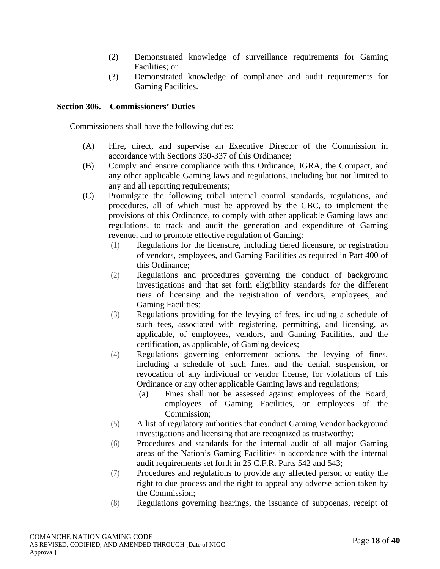- (2) Demonstrated knowledge of surveillance requirements for Gaming Facilities; or
- (3) Demonstrated knowledge of compliance and audit requirements for Gaming Facilities.

# **Section 306. Commissioners' Duties**

Commissioners shall have the following duties:

- (A) Hire, direct, and supervise an Executive Director of the Commission in accordance with Sections 330-337 of this Ordinance;
- (B) Comply and ensure compliance with this Ordinance, IGRA, the Compact, and any other applicable Gaming laws and regulations, including but not limited to any and all reporting requirements;
- (C) Promulgate the following tribal internal control standards, regulations, and procedures, all of which must be approved by the CBC, to implement the provisions of this Ordinance, to comply with other applicable Gaming laws and regulations, to track and audit the generation and expenditure of Gaming revenue, and to promote effective regulation of Gaming:
	- (1) Regulations for the licensure, including tiered licensure, or registration of vendors, employees, and Gaming Facilities as required in Part 400 of this Ordinance;
	- (2) Regulations and procedures governing the conduct of background investigations and that set forth eligibility standards for the different tiers of licensing and the registration of vendors, employees, and Gaming Facilities;
	- (3) Regulations providing for the levying of fees, including a schedule of such fees, associated with registering, permitting, and licensing, as applicable, of employees, vendors, and Gaming Facilities, and the certification, as applicable, of Gaming devices;
	- (4) Regulations governing enforcement actions, the levying of fines, including a schedule of such fines, and the denial, suspension, or revocation of any individual or vendor license, for violations of this Ordinance or any other applicable Gaming laws and regulations;
		- (a) Fines shall not be assessed against employees of the Board, employees of Gaming Facilities, or employees of the Commission;
	- (5) A list of regulatory authorities that conduct Gaming Vendor background investigations and licensing that are recognized as trustworthy;
	- (6) Procedures and standards for the internal audit of all major Gaming areas of the Nation's Gaming Facilities in accordance with the internal audit requirements set forth in 25 C.F.R. Parts 542 and 543;
	- (7) Procedures and regulations to provide any affected person or entity the right to due process and the right to appeal any adverse action taken by the Commission;
	- (8) Regulations governing hearings, the issuance of subpoenas, receipt of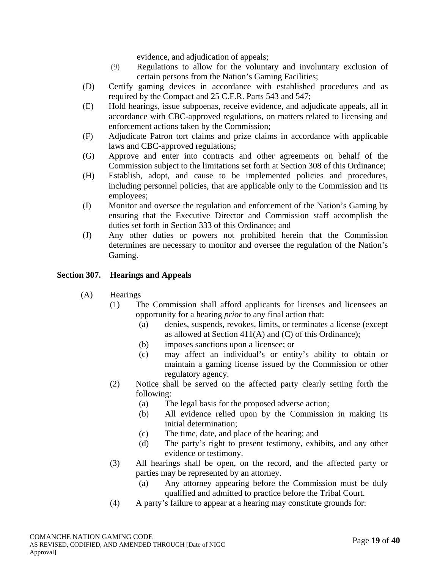evidence, and adjudication of appeals;

- (9) Regulations to allow for the voluntary and involuntary exclusion of certain persons from the Nation's Gaming Facilities;
- (D) Certify gaming devices in accordance with established procedures and as required by the Compact and 25 C.F.R. Parts 543 and 547;
- (E) Hold hearings, issue subpoenas, receive evidence, and adjudicate appeals, all in accordance with CBC-approved regulations, on matters related to licensing and enforcement actions taken by the Commission;
- (F) Adjudicate Patron tort claims and prize claims in accordance with applicable laws and CBC-approved regulations;
- (G) Approve and enter into contracts and other agreements on behalf of the Commission subject to the limitations set forth at Section 308 of this Ordinance;
- (H) Establish, adopt, and cause to be implemented policies and procedures, including personnel policies, that are applicable only to the Commission and its employees;
- (I) Monitor and oversee the regulation and enforcement of the Nation's Gaming by ensuring that the Executive Director and Commission staff accomplish the duties set forth in Section 333 of this Ordinance; and
- (J) Any other duties or powers not prohibited herein that the Commission determines are necessary to monitor and oversee the regulation of the Nation's Gaming.

# **Section 307. Hearings and Appeals**

- (A) Hearings
	- (1) The Commission shall afford applicants for licenses and licensees an opportunity for a hearing *prior* to any final action that:
		- (a) denies, suspends, revokes, limits, or terminates a license (except as allowed at Section 411(A) and (C) of this Ordinance);
		- (b) imposes sanctions upon a licensee; or
		- (c) may affect an individual's or entity's ability to obtain or maintain a gaming license issued by the Commission or other regulatory agency.
	- (2) Notice shall be served on the affected party clearly setting forth the following:
		- (a) The legal basis for the proposed adverse action;
		- (b) All evidence relied upon by the Commission in making its initial determination;
		- (c) The time, date, and place of the hearing; and
		- (d) The party's right to present testimony, exhibits, and any other evidence or testimony.
	- (3) All hearings shall be open, on the record, and the affected party or parties may be represented by an attorney.
		- (a) Any attorney appearing before the Commission must be duly qualified and admitted to practice before the Tribal Court.
	- (4) A party's failure to appear at a hearing may constitute grounds for: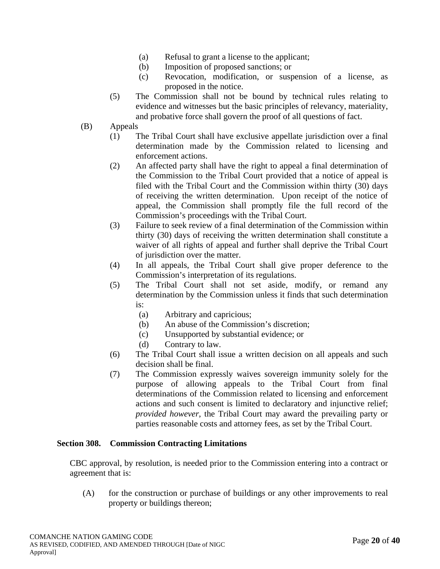- (a) Refusal to grant a license to the applicant;
- (b) Imposition of proposed sanctions; or
- (c) Revocation, modification, or suspension of a license, as proposed in the notice.
- (5) The Commission shall not be bound by technical rules relating to evidence and witnesses but the basic principles of relevancy, materiality, and probative force shall govern the proof of all questions of fact.
- (B) Appeals
	- (1) The Tribal Court shall have exclusive appellate jurisdiction over a final determination made by the Commission related to licensing and enforcement actions.
	- (2) An affected party shall have the right to appeal a final determination of the Commission to the Tribal Court provided that a notice of appeal is filed with the Tribal Court and the Commission within thirty (30) days of receiving the written determination. Upon receipt of the notice of appeal, the Commission shall promptly file the full record of the Commission's proceedings with the Tribal Court.
	- (3) Failure to seek review of a final determination of the Commission within thirty (30) days of receiving the written determination shall constitute a waiver of all rights of appeal and further shall deprive the Tribal Court of jurisdiction over the matter.
	- (4) In all appeals, the Tribal Court shall give proper deference to the Commission's interpretation of its regulations.
	- (5) The Tribal Court shall not set aside, modify, or remand any determination by the Commission unless it finds that such determination is:
		- (a) Arbitrary and capricious;
		- (b) An abuse of the Commission's discretion;
		- (c) Unsupported by substantial evidence; or
		- (d) Contrary to law.
	- (6) The Tribal Court shall issue a written decision on all appeals and such decision shall be final.
	- (7) The Commission expressly waives sovereign immunity solely for the purpose of allowing appeals to the Tribal Court from final determinations of the Commission related to licensing and enforcement actions and such consent is limited to declaratory and injunctive relief; *provided however*, the Tribal Court may award the prevailing party or parties reasonable costs and attorney fees, as set by the Tribal Court.

#### **Section 308. Commission Contracting Limitations**

CBC approval, by resolution, is needed prior to the Commission entering into a contract or agreement that is:

(A) for the construction or purchase of buildings or any other improvements to real property or buildings thereon;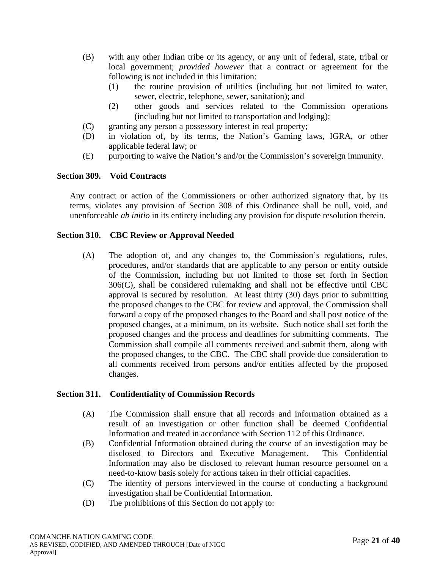- (B) with any other Indian tribe or its agency, or any unit of federal, state, tribal or local government; *provided however* that a contract or agreement for the following is not included in this limitation:
	- (1) the routine provision of utilities (including but not limited to water, sewer, electric, telephone, sewer, sanitation); and
	- (2) other goods and services related to the Commission operations (including but not limited to transportation and lodging);
- (C) granting any person a possessory interest in real property;
- (D) in violation of, by its terms, the Nation's Gaming laws, IGRA, or other applicable federal law; or
- (E) purporting to waive the Nation's and/or the Commission's sovereign immunity.

#### **Section 309. Void Contracts**

Any contract or action of the Commissioners or other authorized signatory that, by its terms, violates any provision of Section 308 of this Ordinance shall be null, void, and unenforceable *ab initio* in its entirety including any provision for dispute resolution therein.

#### **Section 310. CBC Review or Approval Needed**

(A) The adoption of, and any changes to, the Commission's regulations, rules, procedures, and/or standards that are applicable to any person or entity outside of the Commission, including but not limited to those set forth in Section 306(C), shall be considered rulemaking and shall not be effective until CBC approval is secured by resolution. At least thirty (30) days prior to submitting the proposed changes to the CBC for review and approval, the Commission shall forward a copy of the proposed changes to the Board and shall post notice of the proposed changes, at a minimum, on its website. Such notice shall set forth the proposed changes and the process and deadlines for submitting comments. The Commission shall compile all comments received and submit them, along with the proposed changes, to the CBC. The CBC shall provide due consideration to all comments received from persons and/or entities affected by the proposed changes.

#### **Section 311. Confidentiality of Commission Records**

- (A) The Commission shall ensure that all records and information obtained as a result of an investigation or other function shall be deemed Confidential Information and treated in accordance with Section 112 of this Ordinance.
- (B) Confidential Information obtained during the course of an investigation may be disclosed to Directors and Executive Management. This Confidential Information may also be disclosed to relevant human resource personnel on a need-to-know basis solely for actions taken in their official capacities.
- (C) The identity of persons interviewed in the course of conducting a background investigation shall be Confidential Information.
- (D) The prohibitions of this Section do not apply to: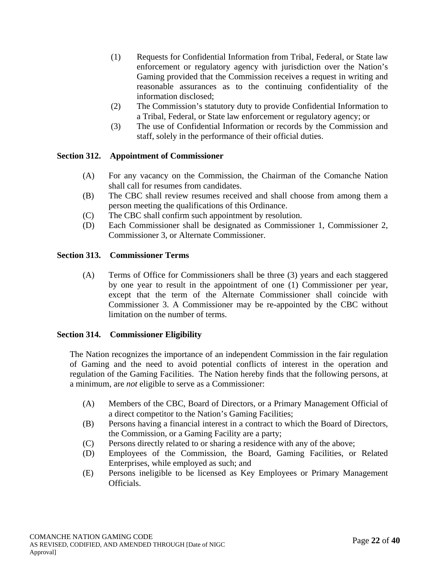- (1) Requests for Confidential Information from Tribal, Federal, or State law enforcement or regulatory agency with jurisdiction over the Nation's Gaming provided that the Commission receives a request in writing and reasonable assurances as to the continuing confidentiality of the information disclosed;
- (2) The Commission's statutory duty to provide Confidential Information to a Tribal, Federal, or State law enforcement or regulatory agency; or
- (3) The use of Confidential Information or records by the Commission and staff, solely in the performance of their official duties.

# **Section 312. Appointment of Commissioner**

- (A) For any vacancy on the Commission, the Chairman of the Comanche Nation shall call for resumes from candidates.
- (B) The CBC shall review resumes received and shall choose from among them a person meeting the qualifications of this Ordinance.
- (C) The CBC shall confirm such appointment by resolution.
- (D) Each Commissioner shall be designated as Commissioner 1, Commissioner 2, Commissioner 3, or Alternate Commissioner.

#### **Section 313. Commissioner Terms**

(A) Terms of Office for Commissioners shall be three (3) years and each staggered by one year to result in the appointment of one (1) Commissioner per year, except that the term of the Alternate Commissioner shall coincide with Commissioner 3. A Commissioner may be re-appointed by the CBC without limitation on the number of terms.

#### **Section 314. Commissioner Eligibility**

The Nation recognizes the importance of an independent Commission in the fair regulation of Gaming and the need to avoid potential conflicts of interest in the operation and regulation of the Gaming Facilities. The Nation hereby finds that the following persons, at a minimum, are *not* eligible to serve as a Commissioner:

- (A) Members of the CBC, Board of Directors, or a Primary Management Official of a direct competitor to the Nation's Gaming Facilities;
- (B) Persons having a financial interest in a contract to which the Board of Directors, the Commission, or a Gaming Facility are a party;
- (C) Persons directly related to or sharing a residence with any of the above;
- (D) Employees of the Commission, the Board, Gaming Facilities, or Related Enterprises, while employed as such; and
- (E) Persons ineligible to be licensed as Key Employees or Primary Management Officials.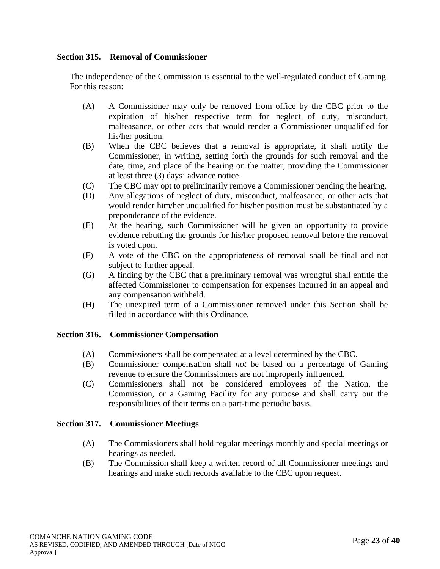# **Section 315. Removal of Commissioner**

The independence of the Commission is essential to the well-regulated conduct of Gaming. For this reason:

- (A) A Commissioner may only be removed from office by the CBC prior to the expiration of his/her respective term for neglect of duty, misconduct, malfeasance, or other acts that would render a Commissioner unqualified for his/her position.
- (B) When the CBC believes that a removal is appropriate, it shall notify the Commissioner, in writing, setting forth the grounds for such removal and the date, time, and place of the hearing on the matter, providing the Commissioner at least three (3) days' advance notice.
- (C) The CBC may opt to preliminarily remove a Commissioner pending the hearing.
- (D) Any allegations of neglect of duty, misconduct, malfeasance, or other acts that would render him/her unqualified for his/her position must be substantiated by a preponderance of the evidence.
- (E) At the hearing, such Commissioner will be given an opportunity to provide evidence rebutting the grounds for his/her proposed removal before the removal is voted upon.
- (F) A vote of the CBC on the appropriateness of removal shall be final and not subject to further appeal.
- (G) A finding by the CBC that a preliminary removal was wrongful shall entitle the affected Commissioner to compensation for expenses incurred in an appeal and any compensation withheld.
- (H) The unexpired term of a Commissioner removed under this Section shall be filled in accordance with this Ordinance.

#### **Section 316. Commissioner Compensation**

- (A) Commissioners shall be compensated at a level determined by the CBC.
- (B) Commissioner compensation shall *not* be based on a percentage of Gaming revenue to ensure the Commissioners are not improperly influenced.
- (C) Commissioners shall not be considered employees of the Nation, the Commission, or a Gaming Facility for any purpose and shall carry out the responsibilities of their terms on a part-time periodic basis.

#### **Section 317. Commissioner Meetings**

- (A) The Commissioners shall hold regular meetings monthly and special meetings or hearings as needed.
- (B) The Commission shall keep a written record of all Commissioner meetings and hearings and make such records available to the CBC upon request.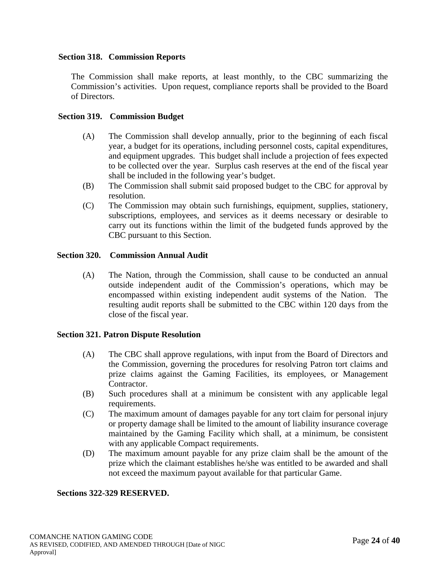#### **Section 318. Commission Reports**

The Commission shall make reports, at least monthly, to the CBC summarizing the Commission's activities. Upon request, compliance reports shall be provided to the Board of Directors.

#### **Section 319. Commission Budget**

- (A) The Commission shall develop annually, prior to the beginning of each fiscal year, a budget for its operations, including personnel costs, capital expenditures, and equipment upgrades. This budget shall include a projection of fees expected to be collected over the year. Surplus cash reserves at the end of the fiscal year shall be included in the following year's budget.
- (B) The Commission shall submit said proposed budget to the CBC for approval by resolution.
- (C) The Commission may obtain such furnishings, equipment, supplies, stationery, subscriptions, employees, and services as it deems necessary or desirable to carry out its functions within the limit of the budgeted funds approved by the CBC pursuant to this Section.

#### **Section 320. Commission Annual Audit**

(A) The Nation, through the Commission, shall cause to be conducted an annual outside independent audit of the Commission's operations, which may be encompassed within existing independent audit systems of the Nation. The resulting audit reports shall be submitted to the CBC within 120 days from the close of the fiscal year.

#### **Section 321. Patron Dispute Resolution**

- (A) The CBC shall approve regulations, with input from the Board of Directors and the Commission, governing the procedures for resolving Patron tort claims and prize claims against the Gaming Facilities, its employees, or Management Contractor.
- (B) Such procedures shall at a minimum be consistent with any applicable legal requirements.
- (C) The maximum amount of damages payable for any tort claim for personal injury or property damage shall be limited to the amount of liability insurance coverage maintained by the Gaming Facility which shall, at a minimum, be consistent with any applicable Compact requirements.
- (D) The maximum amount payable for any prize claim shall be the amount of the prize which the claimant establishes he/she was entitled to be awarded and shall not exceed the maximum payout available for that particular Game.

#### **Sections 322-329 RESERVED.**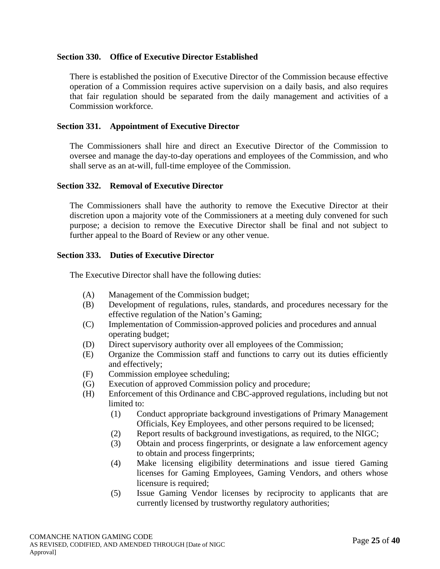#### **Section 330. Office of Executive Director Established**

There is established the position of Executive Director of the Commission because effective operation of a Commission requires active supervision on a daily basis, and also requires that fair regulation should be separated from the daily management and activities of a Commission workforce.

#### **Section 331. Appointment of Executive Director**

The Commissioners shall hire and direct an Executive Director of the Commission to oversee and manage the day-to-day operations and employees of the Commission, and who shall serve as an at-will, full-time employee of the Commission.

#### **Section 332. Removal of Executive Director**

The Commissioners shall have the authority to remove the Executive Director at their discretion upon a majority vote of the Commissioners at a meeting duly convened for such purpose; a decision to remove the Executive Director shall be final and not subject to further appeal to the Board of Review or any other venue.

#### **Section 333. Duties of Executive Director**

The Executive Director shall have the following duties:

- (A) Management of the Commission budget;
- (B) Development of regulations, rules, standards, and procedures necessary for the effective regulation of the Nation's Gaming;
- (C) Implementation of Commission-approved policies and procedures and annual operating budget;
- (D) Direct supervisory authority over all employees of the Commission;
- (E) Organize the Commission staff and functions to carry out its duties efficiently and effectively;
- (F) Commission employee scheduling;
- (G) Execution of approved Commission policy and procedure;
- (H) Enforcement of this Ordinance and CBC-approved regulations, including but not limited to:
	- (1) Conduct appropriate background investigations of Primary Management Officials, Key Employees, and other persons required to be licensed;
	- (2) Report results of background investigations, as required, to the NIGC;
	- (3) Obtain and process fingerprints, or designate a law enforcement agency to obtain and process fingerprints;
	- (4) Make licensing eligibility determinations and issue tiered Gaming licenses for Gaming Employees, Gaming Vendors, and others whose licensure is required:
	- (5) Issue Gaming Vendor licenses by reciprocity to applicants that are currently licensed by trustworthy regulatory authorities;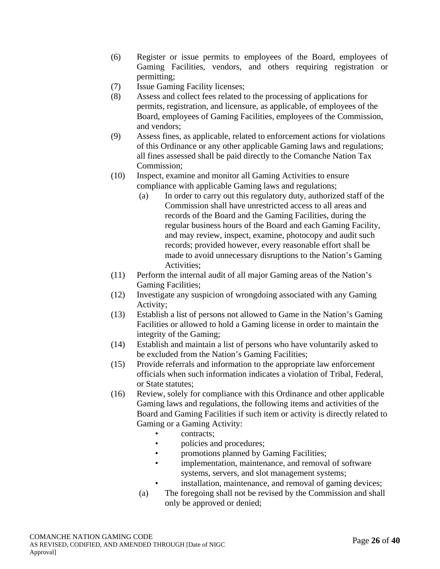- (6) Register or issue permits to employees of the Board, employees of Gaming Facilities, vendors, and others requiring registration or permitting;
- (7) Issue Gaming Facility licenses;
- (8) Assess and collect fees related to the processing of applications for permits, registration, and licensure, as applicable, of employees of the Board, employees of Gaming Facilities, employees of the Commission, and vendors;
- (9) Assess fines, as applicable, related to enforcement actions for violations of this Ordinance or any other applicable Gaming laws and regulations; all fines assessed shall be paid directly to the Comanche Nation Tax Commission;
- (10) Inspect, examine and monitor all Gaming Activities to ensure compliance with applicable Gaming laws and regulations;
	- (a) In order to carry out this regulatory duty, authorized staff of the Commission shall have unrestricted access to all areas and records of the Board and the Gaming Facilities, during the regular business hours of the Board and each Gaming Facility, and may review, inspect, examine, photocopy and audit such records; provided however, every reasonable effort shall be made to avoid unnecessary disruptions to the Nation's Gaming Activities;
- (11) Perform the internal audit of all major Gaming areas of the Nation's Gaming Facilities;
- (12) Investigate any suspicion of wrongdoing associated with any Gaming Activity;
- (13) Establish a list of persons not allowed to Game in the Nation's Gaming Facilities or allowed to hold a Gaming license in order to maintain the integrity of the Gaming;
- (14) Establish and maintain a list of persons who have voluntarily asked to be excluded from the Nation's Gaming Facilities;
- (15) Provide referrals and information to the appropriate law enforcement officials when such information indicates a violation of Tribal, Federal, or State statutes;
- (16) Review, solely for compliance with this Ordinance and other applicable Gaming laws and regulations, the following items and activities of the Board and Gaming Facilities if such item or activity is directly related to Gaming or a Gaming Activity:
	- contracts;
	- policies and procedures;
	- promotions planned by Gaming Facilities;
	- implementation, maintenance, and removal of software systems, servers, and slot management systems;
	- installation, maintenance, and removal of gaming devices;
	- (a) The foregoing shall not be revised by the Commission and shall only be approved or denied;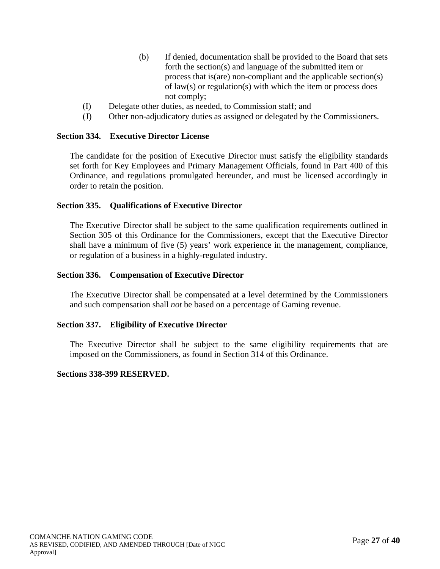- (b) If denied, documentation shall be provided to the Board that sets forth the section(s) and language of the submitted item or process that is(are) non-compliant and the applicable section(s) of law(s) or regulation(s) with which the item or process does not comply;
- (I) Delegate other duties, as needed, to Commission staff; and
- (J) Other non-adjudicatory duties as assigned or delegated by the Commissioners.

#### **Section 334. Executive Director License**

The candidate for the position of Executive Director must satisfy the eligibility standards set forth for Key Employees and Primary Management Officials, found in Part 400 of this Ordinance, and regulations promulgated hereunder, and must be licensed accordingly in order to retain the position.

#### **Section 335. Qualifications of Executive Director**

The Executive Director shall be subject to the same qualification requirements outlined in Section 305 of this Ordinance for the Commissioners, except that the Executive Director shall have a minimum of five (5) years' work experience in the management, compliance, or regulation of a business in a highly-regulated industry.

#### **Section 336. Compensation of Executive Director**

The Executive Director shall be compensated at a level determined by the Commissioners and such compensation shall *not* be based on a percentage of Gaming revenue.

#### **Section 337. Eligibility of Executive Director**

The Executive Director shall be subject to the same eligibility requirements that are imposed on the Commissioners, as found in Section 314 of this Ordinance.

#### **Sections 338-399 RESERVED.**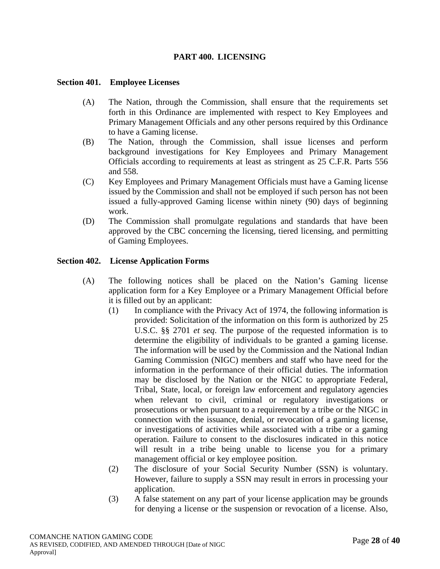# **PART 400. LICENSING**

#### **Section 401. Employee Licenses**

- (A) The Nation, through the Commission, shall ensure that the requirements set forth in this Ordinance are implemented with respect to Key Employees and Primary Management Officials and any other persons required by this Ordinance to have a Gaming license.
- (B) The Nation, through the Commission, shall issue licenses and perform background investigations for Key Employees and Primary Management Officials according to requirements at least as stringent as 25 C.F.R. Parts 556 and 558.
- (C) Key Employees and Primary Management Officials must have a Gaming license issued by the Commission and shall not be employed if such person has not been issued a fully-approved Gaming license within ninety (90) days of beginning work.
- (D) The Commission shall promulgate regulations and standards that have been approved by the CBC concerning the licensing, tiered licensing, and permitting of Gaming Employees.

#### **Section 402. License Application Forms**

- (A) The following notices shall be placed on the Nation's Gaming license application form for a Key Employee or a Primary Management Official before it is filled out by an applicant:
	- (1) In compliance with the Privacy Act of 1974, the following information is provided: Solicitation of the information on this form is authorized by 25 U.S.C. §§ 2701 *et seq*. The purpose of the requested information is to determine the eligibility of individuals to be granted a gaming license. The information will be used by the Commission and the National Indian Gaming Commission (NIGC) members and staff who have need for the information in the performance of their official duties. The information may be disclosed by the Nation or the NIGC to appropriate Federal, Tribal, State, local, or foreign law enforcement and regulatory agencies when relevant to civil, criminal or regulatory investigations or prosecutions or when pursuant to a requirement by a tribe or the NIGC in connection with the issuance, denial, or revocation of a gaming license, or investigations of activities while associated with a tribe or a gaming operation. Failure to consent to the disclosures indicated in this notice will result in a tribe being unable to license you for a primary management official or key employee position.
	- (2) The disclosure of your Social Security Number (SSN) is voluntary. However, failure to supply a SSN may result in errors in processing your application.
	- (3) A false statement on any part of your license application may be grounds for denying a license or the suspension or revocation of a license. Also,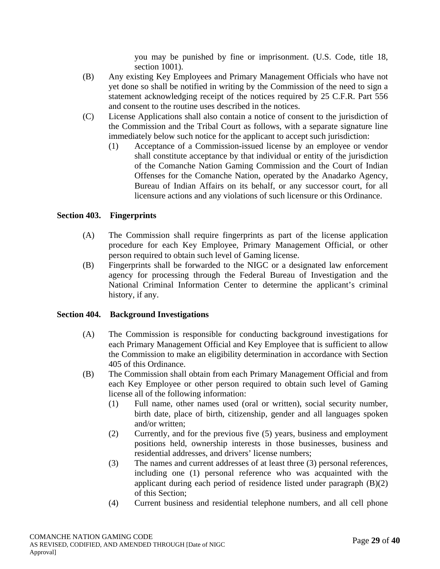you may be punished by fine or imprisonment. (U.S. Code, title 18, section 1001).

- (B) Any existing Key Employees and Primary Management Officials who have not yet done so shall be notified in writing by the Commission of the need to sign a statement acknowledging receipt of the notices required by 25 C.F.R. Part 556 and consent to the routine uses described in the notices.
- (C) License Applications shall also contain a notice of consent to the jurisdiction of the Commission and the Tribal Court as follows, with a separate signature line immediately below such notice for the applicant to accept such jurisdiction:
	- (1) Acceptance of a Commission-issued license by an employee or vendor shall constitute acceptance by that individual or entity of the jurisdiction of the Comanche Nation Gaming Commission and the Court of Indian Offenses for the Comanche Nation, operated by the Anadarko Agency, Bureau of Indian Affairs on its behalf, or any successor court, for all licensure actions and any violations of such licensure or this Ordinance.

# **Section 403. Fingerprints**

- (A) The Commission shall require fingerprints as part of the license application procedure for each Key Employee, Primary Management Official, or other person required to obtain such level of Gaming license.
- (B) Fingerprints shall be forwarded to the NIGC or a designated law enforcement agency for processing through the Federal Bureau of Investigation and the National Criminal Information Center to determine the applicant's criminal history, if any.

#### **Section 404. Background Investigations**

- (A) The Commission is responsible for conducting background investigations for each Primary Management Official and Key Employee that is sufficient to allow the Commission to make an eligibility determination in accordance with Section 405 of this Ordinance.
- (B) The Commission shall obtain from each Primary Management Official and from each Key Employee or other person required to obtain such level of Gaming license all of the following information:
	- (1) Full name, other names used (oral or written), social security number, birth date, place of birth, citizenship, gender and all languages spoken and/or written;
	- (2) Currently, and for the previous five (5) years, business and employment positions held, ownership interests in those businesses, business and residential addresses, and drivers' license numbers;
	- (3) The names and current addresses of at least three (3) personal references, including one (1) personal reference who was acquainted with the applicant during each period of residence listed under paragraph (B)(2) of this Section;
	- (4) Current business and residential telephone numbers, and all cell phone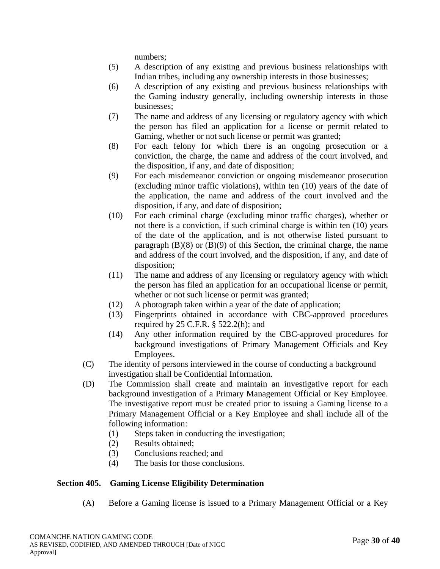numbers;

- (5) A description of any existing and previous business relationships with Indian tribes, including any ownership interests in those businesses;
- (6) A description of any existing and previous business relationships with the Gaming industry generally, including ownership interests in those businesses;
- (7) The name and address of any licensing or regulatory agency with which the person has filed an application for a license or permit related to Gaming, whether or not such license or permit was granted;
- (8) For each felony for which there is an ongoing prosecution or a conviction, the charge, the name and address of the court involved, and the disposition, if any, and date of disposition;
- (9) For each misdemeanor conviction or ongoing misdemeanor prosecution (excluding minor traffic violations), within ten (10) years of the date of the application, the name and address of the court involved and the disposition, if any, and date of disposition;
- (10) For each criminal charge (excluding minor traffic charges), whether or not there is a conviction, if such criminal charge is within ten (10) years of the date of the application, and is not otherwise listed pursuant to paragraph  $(B)(8)$  or  $(B)(9)$  of this Section, the criminal charge, the name and address of the court involved, and the disposition, if any, and date of disposition;
- (11) The name and address of any licensing or regulatory agency with which the person has filed an application for an occupational license or permit, whether or not such license or permit was granted;
- (12) A photograph taken within a year of the date of application;
- (13) Fingerprints obtained in accordance with CBC-approved procedures required by 25 C.F.R.  $\S$  522.2(h); and
- (14) Any other information required by the CBC-approved procedures for background investigations of Primary Management Officials and Key Employees.
- (C) The identity of persons interviewed in the course of conducting a background investigation shall be Confidential Information.
- (D) The Commission shall create and maintain an investigative report for each background investigation of a Primary Management Official or Key Employee. The investigative report must be created prior to issuing a Gaming license to a Primary Management Official or a Key Employee and shall include all of the following information:
	- (1) Steps taken in conducting the investigation;
	- (2) Results obtained;
	- (3) Conclusions reached; and
	- (4) The basis for those conclusions.

# **Section 405. Gaming License Eligibility Determination**

(A) Before a Gaming license is issued to a Primary Management Official or a Key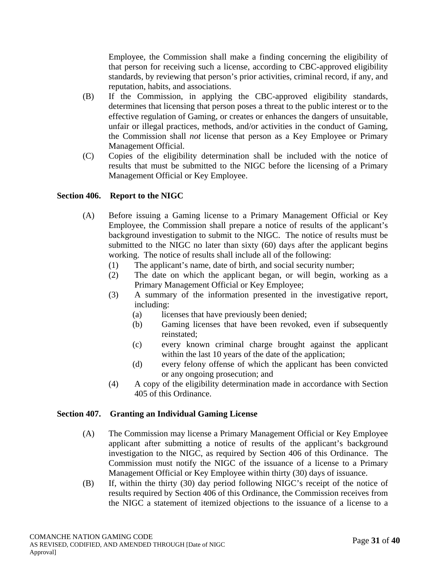Employee, the Commission shall make a finding concerning the eligibility of that person for receiving such a license, according to CBC-approved eligibility standards, by reviewing that person's prior activities, criminal record, if any, and reputation, habits, and associations.

- (B) If the Commission, in applying the CBC-approved eligibility standards, determines that licensing that person poses a threat to the public interest or to the effective regulation of Gaming, or creates or enhances the dangers of unsuitable, unfair or illegal practices, methods, and/or activities in the conduct of Gaming, the Commission shall *not* license that person as a Key Employee or Primary Management Official.
- (C) Copies of the eligibility determination shall be included with the notice of results that must be submitted to the NIGC before the licensing of a Primary Management Official or Key Employee.

# **Section 406. Report to the NIGC**

- (A) Before issuing a Gaming license to a Primary Management Official or Key Employee, the Commission shall prepare a notice of results of the applicant's background investigation to submit to the NIGC. The notice of results must be submitted to the NIGC no later than sixty (60) days after the applicant begins working. The notice of results shall include all of the following:
	- (1) The applicant's name, date of birth, and social security number;
	- (2) The date on which the applicant began, or will begin, working as a Primary Management Official or Key Employee;
	- (3) A summary of the information presented in the investigative report, including:
		- (a) licenses that have previously been denied;
		- (b) Gaming licenses that have been revoked, even if subsequently reinstated;
		- (c) every known criminal charge brought against the applicant within the last 10 years of the date of the application;
		- (d) every felony offense of which the applicant has been convicted or any ongoing prosecution; and
	- (4) A copy of the eligibility determination made in accordance with Section 405 of this Ordinance.

#### **Section 407. Granting an Individual Gaming License**

- (A) The Commission may license a Primary Management Official or Key Employee applicant after submitting a notice of results of the applicant's background investigation to the NIGC, as required by Section 406 of this Ordinance. The Commission must notify the NIGC of the issuance of a license to a Primary Management Official or Key Employee within thirty (30) days of issuance.
- (B) If, within the thirty (30) day period following NIGC's receipt of the notice of results required by Section 406 of this Ordinance, the Commission receives from the NIGC a statement of itemized objections to the issuance of a license to a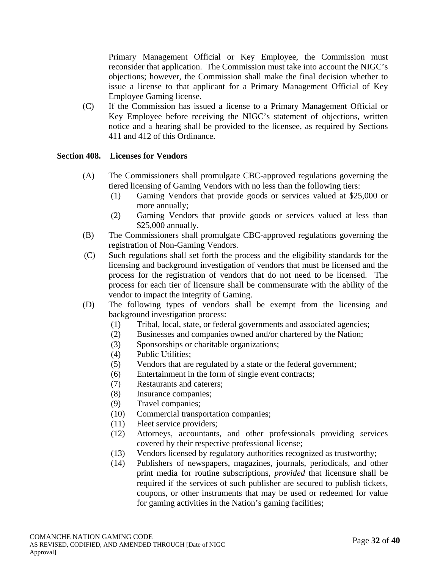Primary Management Official or Key Employee, the Commission must reconsider that application. The Commission must take into account the NIGC's objections; however, the Commission shall make the final decision whether to issue a license to that applicant for a Primary Management Official of Key Employee Gaming license.

(C) If the Commission has issued a license to a Primary Management Official or Key Employee before receiving the NIGC's statement of objections, written notice and a hearing shall be provided to the licensee, as required by Sections 411 and 412 of this Ordinance.

# **Section 408. Licenses for Vendors**

- (A) The Commissioners shall promulgate CBC-approved regulations governing the tiered licensing of Gaming Vendors with no less than the following tiers:
	- (1) Gaming Vendors that provide goods or services valued at \$25,000 or more annually;
	- (2) Gaming Vendors that provide goods or services valued at less than \$25,000 annually.
- (B) The Commissioners shall promulgate CBC-approved regulations governing the registration of Non-Gaming Vendors.
- (C) Such regulations shall set forth the process and the eligibility standards for the licensing and background investigation of vendors that must be licensed and the process for the registration of vendors that do not need to be licensed. The process for each tier of licensure shall be commensurate with the ability of the vendor to impact the integrity of Gaming.
- (D) The following types of vendors shall be exempt from the licensing and background investigation process:
	- (1) Tribal, local, state, or federal governments and associated agencies;
	- (2) Businesses and companies owned and/or chartered by the Nation;
	- (3) Sponsorships or charitable organizations;
	- (4) Public Utilities;
	- (5) Vendors that are regulated by a state or the federal government;
	- (6) Entertainment in the form of single event contracts;
	- (7) Restaurants and caterers;
	- (8) Insurance companies;
	- (9) Travel companies;
	- (10) Commercial transportation companies;
	- (11) Fleet service providers;
	- (12) Attorneys, accountants, and other professionals providing services covered by their respective professional license;
	- (13) Vendors licensed by regulatory authorities recognized as trustworthy;
	- (14) Publishers of newspapers, magazines, journals, periodicals, and other print media for routine subscriptions, *provided* that licensure shall be required if the services of such publisher are secured to publish tickets, coupons, or other instruments that may be used or redeemed for value for gaming activities in the Nation's gaming facilities;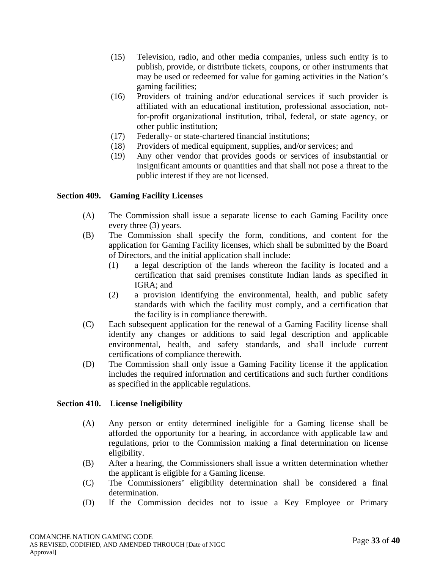- (15) Television, radio, and other media companies, unless such entity is to publish, provide, or distribute tickets, coupons, or other instruments that may be used or redeemed for value for gaming activities in the Nation's gaming facilities;
- (16) Providers of training and/or educational services if such provider is affiliated with an educational institution, professional association, notfor-profit organizational institution, tribal, federal, or state agency, or other public institution;
- (17) Federally- or state-chartered financial institutions;
- (18) Providers of medical equipment, supplies, and/or services; and
- (19) Any other vendor that provides goods or services of insubstantial or insignificant amounts or quantities and that shall not pose a threat to the public interest if they are not licensed.

#### **Section 409. Gaming Facility Licenses**

- (A) The Commission shall issue a separate license to each Gaming Facility once every three (3) years.
- (B) The Commission shall specify the form, conditions, and content for the application for Gaming Facility licenses, which shall be submitted by the Board of Directors, and the initial application shall include:
	- (1) a legal description of the lands whereon the facility is located and a certification that said premises constitute Indian lands as specified in IGRA; and
	- (2) a provision identifying the environmental, health, and public safety standards with which the facility must comply, and a certification that the facility is in compliance therewith.
- (C) Each subsequent application for the renewal of a Gaming Facility license shall identify any changes or additions to said legal description and applicable environmental, health, and safety standards, and shall include current certifications of compliance therewith.
- (D) The Commission shall only issue a Gaming Facility license if the application includes the required information and certifications and such further conditions as specified in the applicable regulations.

#### **Section 410. License Ineligibility**

- (A) Any person or entity determined ineligible for a Gaming license shall be afforded the opportunity for a hearing, in accordance with applicable law and regulations, prior to the Commission making a final determination on license eligibility.
- (B) After a hearing, the Commissioners shall issue a written determination whether the applicant is eligible for a Gaming license.
- (C) The Commissioners' eligibility determination shall be considered a final determination.
- (D) If the Commission decides not to issue a Key Employee or Primary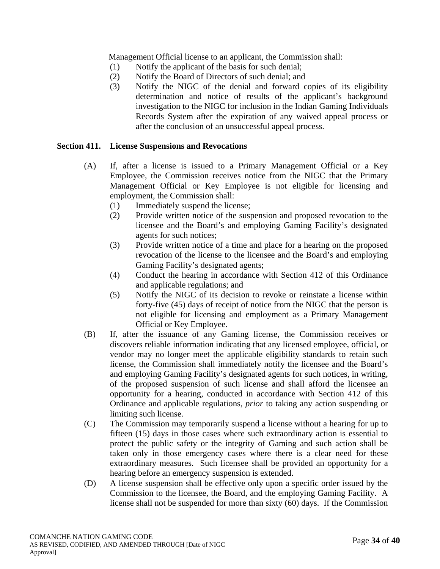Management Official license to an applicant, the Commission shall:

- (1) Notify the applicant of the basis for such denial;
- (2) Notify the Board of Directors of such denial; and
- (3) Notify the NIGC of the denial and forward copies of its eligibility determination and notice of results of the applicant's background investigation to the NIGC for inclusion in the Indian Gaming Individuals Records System after the expiration of any waived appeal process or after the conclusion of an unsuccessful appeal process.

#### **Section 411. License Suspensions and Revocations**

- (A) If, after a license is issued to a Primary Management Official or a Key Employee, the Commission receives notice from the NIGC that the Primary Management Official or Key Employee is not eligible for licensing and employment, the Commission shall:
	- (1) Immediately suspend the license;
	- (2) Provide written notice of the suspension and proposed revocation to the licensee and the Board's and employing Gaming Facility's designated agents for such notices;
	- (3) Provide written notice of a time and place for a hearing on the proposed revocation of the license to the licensee and the Board's and employing Gaming Facility's designated agents;
	- (4) Conduct the hearing in accordance with Section 412 of this Ordinance and applicable regulations; and
	- (5) Notify the NIGC of its decision to revoke or reinstate a license within forty-five (45) days of receipt of notice from the NIGC that the person is not eligible for licensing and employment as a Primary Management Official or Key Employee.
- (B) If, after the issuance of any Gaming license, the Commission receives or discovers reliable information indicating that any licensed employee, official, or vendor may no longer meet the applicable eligibility standards to retain such license, the Commission shall immediately notify the licensee and the Board's and employing Gaming Facility's designated agents for such notices, in writing, of the proposed suspension of such license and shall afford the licensee an opportunity for a hearing, conducted in accordance with Section 412 of this Ordinance and applicable regulations, *prior* to taking any action suspending or limiting such license.
- (C) The Commission may temporarily suspend a license without a hearing for up to fifteen (15) days in those cases where such extraordinary action is essential to protect the public safety or the integrity of Gaming and such action shall be taken only in those emergency cases where there is a clear need for these extraordinary measures. Such licensee shall be provided an opportunity for a hearing before an emergency suspension is extended.
- (D) A license suspension shall be effective only upon a specific order issued by the Commission to the licensee, the Board, and the employing Gaming Facility. A license shall not be suspended for more than sixty (60) days. If the Commission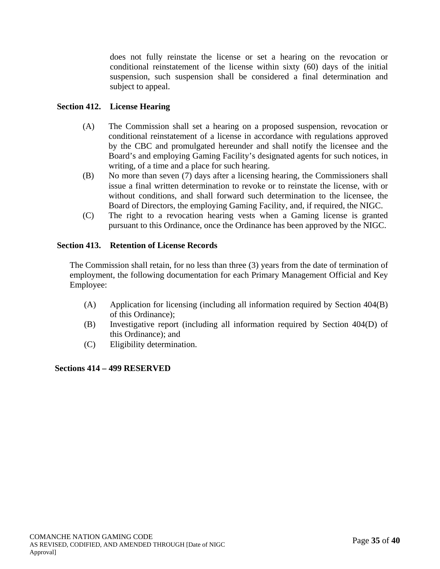does not fully reinstate the license or set a hearing on the revocation or conditional reinstatement of the license within sixty (60) days of the initial suspension, such suspension shall be considered a final determination and subject to appeal.

# **Section 412. License Hearing**

- (A) The Commission shall set a hearing on a proposed suspension, revocation or conditional reinstatement of a license in accordance with regulations approved by the CBC and promulgated hereunder and shall notify the licensee and the Board's and employing Gaming Facility's designated agents for such notices, in writing, of a time and a place for such hearing.
- (B) No more than seven (7) days after a licensing hearing, the Commissioners shall issue a final written determination to revoke or to reinstate the license, with or without conditions, and shall forward such determination to the licensee, the Board of Directors, the employing Gaming Facility, and, if required, the NIGC.
- (C) The right to a revocation hearing vests when a Gaming license is granted pursuant to this Ordinance, once the Ordinance has been approved by the NIGC.

#### **Section 413. Retention of License Records**

The Commission shall retain, for no less than three (3) years from the date of termination of employment, the following documentation for each Primary Management Official and Key Employee:

- (A) Application for licensing (including all information required by Section 404(B) of this Ordinance);
- (B) Investigative report (including all information required by Section 404(D) of this Ordinance); and
- (C) Eligibility determination.

#### **Sections 414 – 499 RESERVED**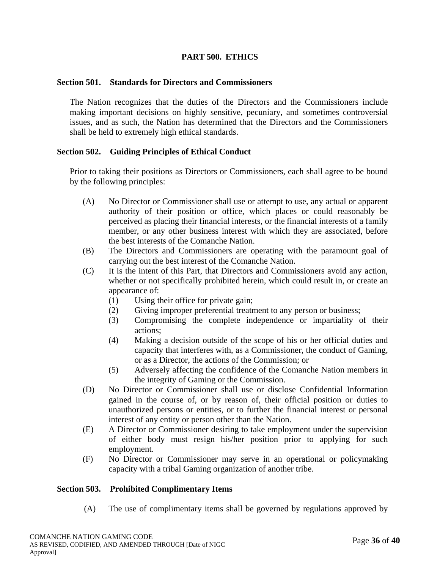# **PART 500. ETHICS**

#### **Section 501. Standards for Directors and Commissioners**

The Nation recognizes that the duties of the Directors and the Commissioners include making important decisions on highly sensitive, pecuniary, and sometimes controversial issues, and as such, the Nation has determined that the Directors and the Commissioners shall be held to extremely high ethical standards.

#### **Section 502. Guiding Principles of Ethical Conduct**

Prior to taking their positions as Directors or Commissioners, each shall agree to be bound by the following principles:

- (A) No Director or Commissioner shall use or attempt to use, any actual or apparent authority of their position or office, which places or could reasonably be perceived as placing their financial interests, or the financial interests of a family member, or any other business interest with which they are associated, before the best interests of the Comanche Nation.
- (B) The Directors and Commissioners are operating with the paramount goal of carrying out the best interest of the Comanche Nation.
- (C) It is the intent of this Part, that Directors and Commissioners avoid any action, whether or not specifically prohibited herein, which could result in, or create an appearance of:
	- (1) Using their office for private gain;
	- (2) Giving improper preferential treatment to any person or business;
	- (3) Compromising the complete independence or impartiality of their actions;
	- (4) Making a decision outside of the scope of his or her official duties and capacity that interferes with, as a Commissioner, the conduct of Gaming, or as a Director, the actions of the Commission; or
	- (5) Adversely affecting the confidence of the Comanche Nation members in the integrity of Gaming or the Commission.
- (D) No Director or Commissioner shall use or disclose Confidential Information gained in the course of, or by reason of, their official position or duties to unauthorized persons or entities, or to further the financial interest or personal interest of any entity or person other than the Nation.
- (E) A Director or Commissioner desiring to take employment under the supervision of either body must resign his/her position prior to applying for such employment.
- (F) No Director or Commissioner may serve in an operational or policymaking capacity with a tribal Gaming organization of another tribe.

#### **Section 503. Prohibited Complimentary Items**

(A) The use of complimentary items shall be governed by regulations approved by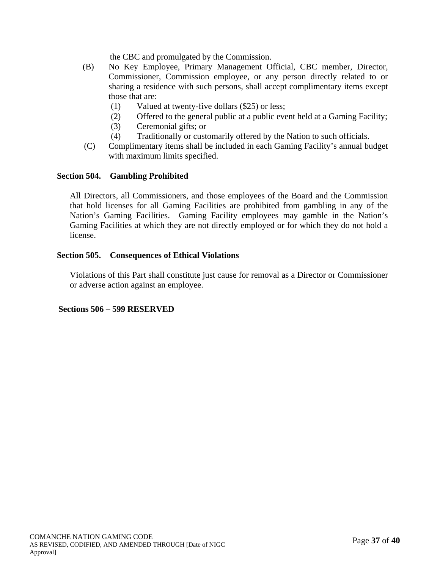the CBC and promulgated by the Commission.

- (B) No Key Employee, Primary Management Official, CBC member, Director, Commissioner, Commission employee, or any person directly related to or sharing a residence with such persons, shall accept complimentary items except those that are:
	- (1) Valued at twenty-five dollars (\$25) or less;
	- (2) Offered to the general public at a public event held at a Gaming Facility;
	- (3) Ceremonial gifts; or
	- (4) Traditionally or customarily offered by the Nation to such officials.
- (C) Complimentary items shall be included in each Gaming Facility's annual budget with maximum limits specified.

# **Section 504. Gambling Prohibited**

All Directors, all Commissioners, and those employees of the Board and the Commission that hold licenses for all Gaming Facilities are prohibited from gambling in any of the Nation's Gaming Facilities. Gaming Facility employees may gamble in the Nation's Gaming Facilities at which they are not directly employed or for which they do not hold a license.

#### **Section 505. Consequences of Ethical Violations**

Violations of this Part shall constitute just cause for removal as a Director or Commissioner or adverse action against an employee.

#### **Sections 506 – 599 RESERVED**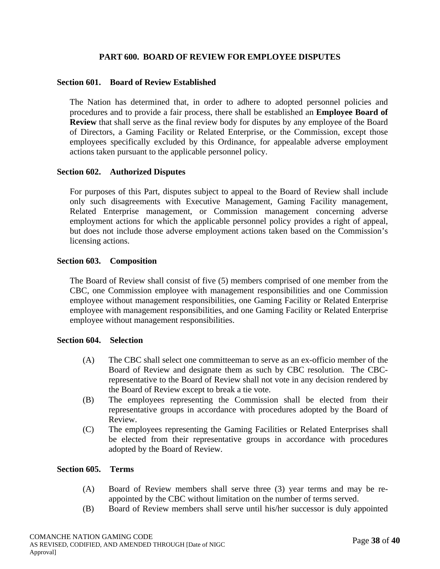# **PART 600. BOARD OF REVIEW FOR EMPLOYEE DISPUTES**

#### **Section 601. Board of Review Established**

The Nation has determined that, in order to adhere to adopted personnel policies and procedures and to provide a fair process, there shall be established an **Employee Board of Review** that shall serve as the final review body for disputes by any employee of the Board of Directors, a Gaming Facility or Related Enterprise, or the Commission, except those employees specifically excluded by this Ordinance, for appealable adverse employment actions taken pursuant to the applicable personnel policy.

#### **Section 602. Authorized Disputes**

For purposes of this Part, disputes subject to appeal to the Board of Review shall include only such disagreements with Executive Management, Gaming Facility management, Related Enterprise management, or Commission management concerning adverse employment actions for which the applicable personnel policy provides a right of appeal, but does not include those adverse employment actions taken based on the Commission's licensing actions.

#### **Section 603. Composition**

The Board of Review shall consist of five (5) members comprised of one member from the CBC, one Commission employee with management responsibilities and one Commission employee without management responsibilities, one Gaming Facility or Related Enterprise employee with management responsibilities, and one Gaming Facility or Related Enterprise employee without management responsibilities.

#### **Section 604. Selection**

- (A) The CBC shall select one committeeman to serve as an ex-officio member of the Board of Review and designate them as such by CBC resolution. The CBCrepresentative to the Board of Review shall not vote in any decision rendered by the Board of Review except to break a tie vote.
- (B) The employees representing the Commission shall be elected from their representative groups in accordance with procedures adopted by the Board of Review.
- (C) The employees representing the Gaming Facilities or Related Enterprises shall be elected from their representative groups in accordance with procedures adopted by the Board of Review.

#### **Section 605. Terms**

- (A) Board of Review members shall serve three (3) year terms and may be reappointed by the CBC without limitation on the number of terms served.
- (B) Board of Review members shall serve until his/her successor is duly appointed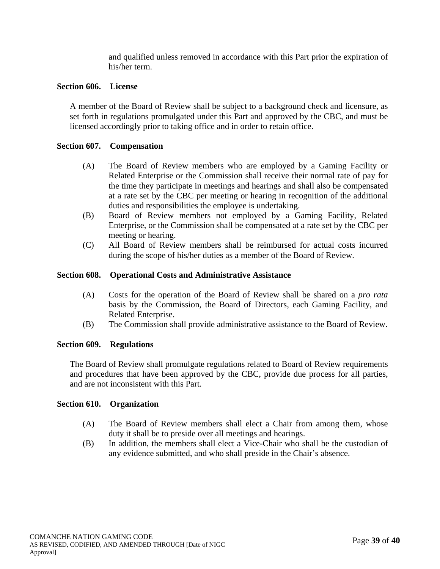and qualified unless removed in accordance with this Part prior the expiration of his/her term.

#### **Section 606. License**

A member of the Board of Review shall be subject to a background check and licensure, as set forth in regulations promulgated under this Part and approved by the CBC, and must be licensed accordingly prior to taking office and in order to retain office.

#### **Section 607. Compensation**

- (A) The Board of Review members who are employed by a Gaming Facility or Related Enterprise or the Commission shall receive their normal rate of pay for the time they participate in meetings and hearings and shall also be compensated at a rate set by the CBC per meeting or hearing in recognition of the additional duties and responsibilities the employee is undertaking.
- (B) Board of Review members not employed by a Gaming Facility, Related Enterprise, or the Commission shall be compensated at a rate set by the CBC per meeting or hearing.
- (C) All Board of Review members shall be reimbursed for actual costs incurred during the scope of his/her duties as a member of the Board of Review.

#### **Section 608. Operational Costs and Administrative Assistance**

- (A) Costs for the operation of the Board of Review shall be shared on a *pro rata* basis by the Commission, the Board of Directors, each Gaming Facility, and Related Enterprise.
- (B) The Commission shall provide administrative assistance to the Board of Review.

#### **Section 609. Regulations**

The Board of Review shall promulgate regulations related to Board of Review requirements and procedures that have been approved by the CBC, provide due process for all parties, and are not inconsistent with this Part.

#### **Section 610. Organization**

- (A) The Board of Review members shall elect a Chair from among them, whose duty it shall be to preside over all meetings and hearings.
- (B) In addition, the members shall elect a Vice-Chair who shall be the custodian of any evidence submitted, and who shall preside in the Chair's absence.